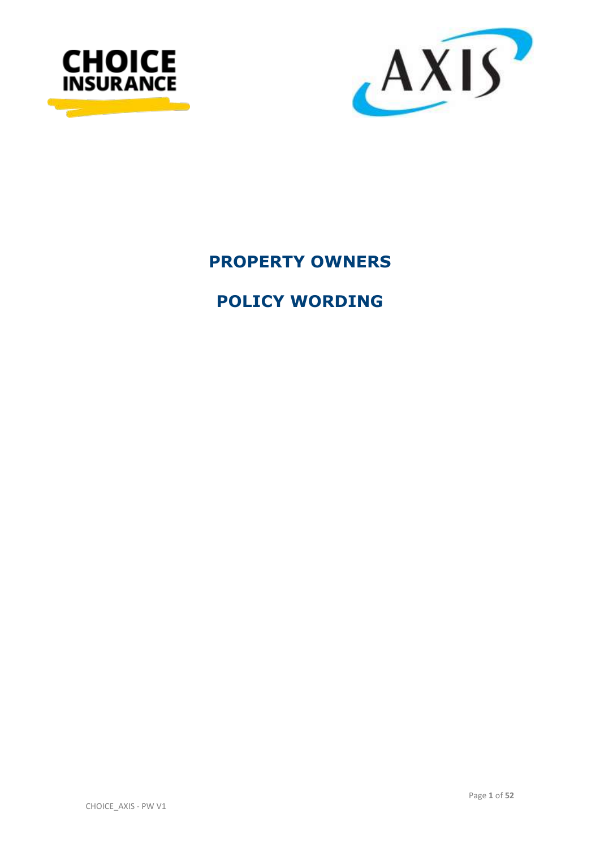



# **PROPERTY OWNERS**

# **POLICY WORDING**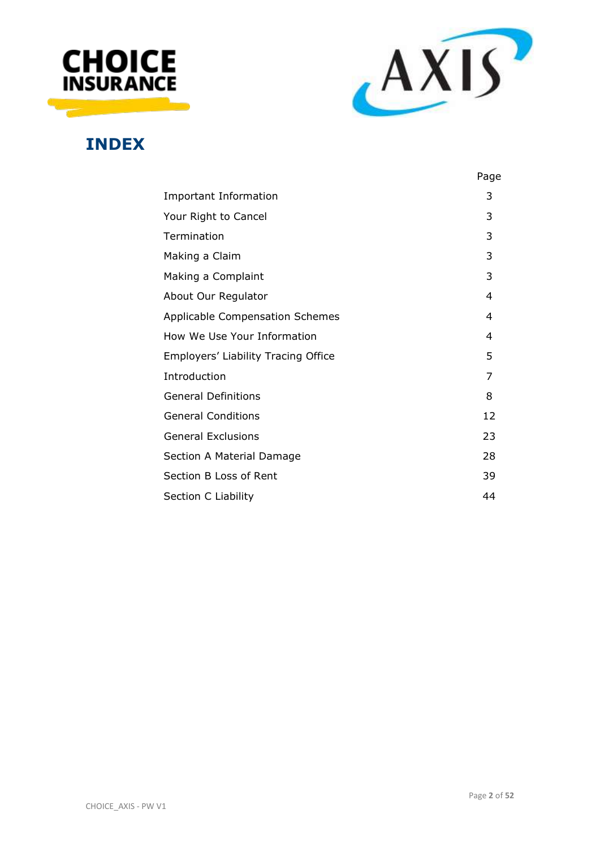



# **INDEX**

|                                     | Page |
|-------------------------------------|------|
| <b>Important Information</b>        | 3    |
| Your Right to Cancel                | 3    |
| Termination                         | 3    |
| Making a Claim                      | 3    |
| Making a Complaint                  | 3    |
| About Our Regulator                 | 4    |
| Applicable Compensation Schemes     | 4    |
| How We Use Your Information         | 4    |
| Employers' Liability Tracing Office | 5    |
| Introduction                        | 7    |
| <b>General Definitions</b>          | 8    |
| <b>General Conditions</b>           | 12   |
| <b>General Exclusions</b>           | 23   |
| Section A Material Damage           | 28   |
| Section B Loss of Rent              | 39   |
| Section C Liability                 | 44   |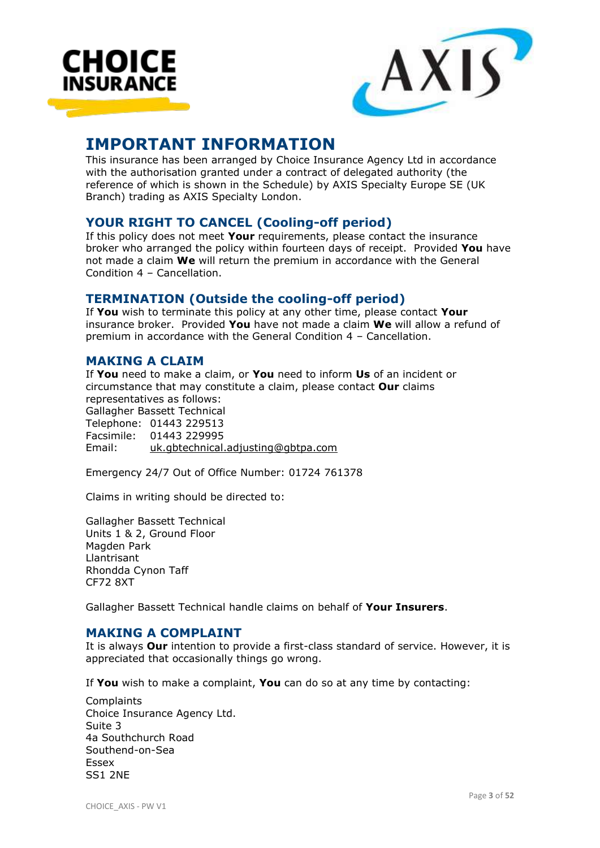



# **IMPORTANT INFORMATION**

This insurance has been arranged by Choice Insurance Agency Ltd in accordance with the authorisation granted under a contract of delegated authority (the reference of which is shown in the Schedule) by AXIS Specialty Europe SE (UK Branch) trading as AXIS Specialty London.

# **YOUR RIGHT TO CANCEL (Cooling-off period)**

If this policy does not meet **Your** requirements, please contact the insurance broker who arranged the policy within fourteen days of receipt. Provided **You** have not made a claim **We** will return the premium in accordance with the General Condition 4 – Cancellation.

# **TERMINATION (Outside the cooling-off period)**

If **You** wish to terminate this policy at any other time, please contact **Your** insurance broker. Provided **You** have not made a claim **We** will allow a refund of premium in accordance with the General Condition 4 – Cancellation.

# **MAKING A CLAIM**

If **You** need to make a claim, or **You** need to inform **Us** of an incident or circumstance that may constitute a claim, please contact **Our** claims representatives as follows: Gallagher Bassett Technical Telephone: 01443 229513 Facsimile: 01443 229995 Email: [uk.gbtechnical.adjusting@gbtpa.com](mailto:uk.gbtechnical.adjusting@gbtpa.com)

Emergency 24/7 Out of Office Number: 01724 761378

Claims in writing should be directed to:

Gallagher Bassett Technical Units 1 & 2, Ground Floor Magden Park Llantrisant Rhondda Cynon Taff CF72 8XT

Gallagher Bassett Technical handle claims on behalf of **Your Insurers**.

# **MAKING A COMPLAINT**

It is always **Our** intention to provide a first-class standard of service. However, it is appreciated that occasionally things go wrong.

If **You** wish to make a complaint, **You** can do so at any time by contacting:

**Complaints** Choice Insurance Agency Ltd. Suite 3 4a Southchurch Road Southend-on-Sea **Eccov** SS1 2NE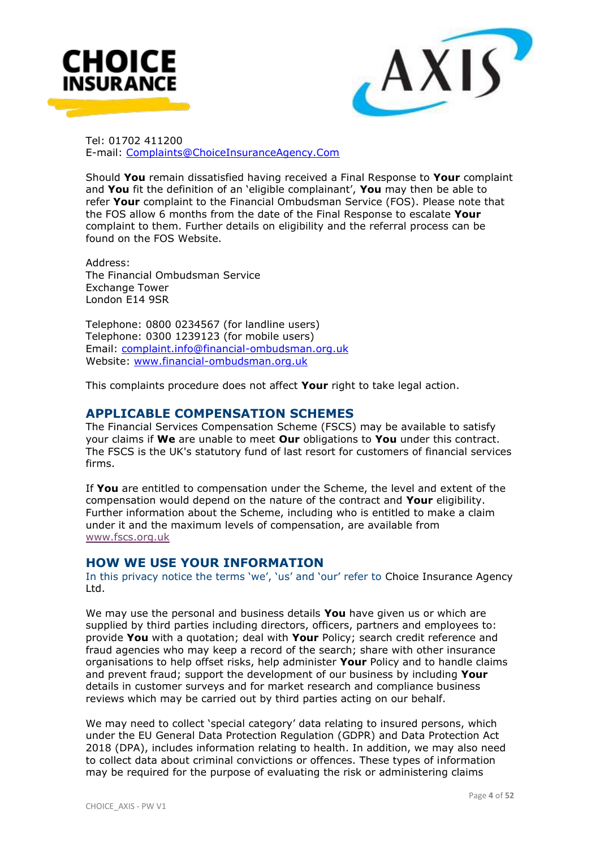



Tel: 01702 411200 E-mail: [Complaints@ChoiceInsuranceAgency.Com](mailto:Complaints@ChoiceInsuranceAgency.Com)

Should **You** remain dissatisfied having received a Final Response to **Your** complaint and **You** fit the definition of an 'eligible complainant', **You** may then be able to refer **Your** complaint to the Financial Ombudsman Service (FOS). Please note that the FOS allow 6 months from the date of the Final Response to escalate **Your**  complaint to them. Further details on eligibility and the referral process can be found on the FOS Website.

Address: The Financial Ombudsman Service Exchange Tower London E14 9SR

Telephone: 0800 0234567 (for landline users) Telephone: 0300 1239123 (for mobile users) Email: [complaint.info@financial-ombudsman.org.uk](mailto:complaint.info@financial-ombudsman.org.uk) Website: [www.financial-ombudsman.org.uk](http://www.financial-ombudsman.org.uk/)

This complaints procedure does not affect **Your** right to take legal action.

#### **APPLICABLE COMPENSATION SCHEMES**

The Financial Services Compensation Scheme (FSCS) may be available to satisfy your claims if **We** are unable to meet **Our** obligations to **You** under this contract. The FSCS is the UK's statutory fund of last resort for customers of financial services firms.

If **You** are entitled to compensation under the Scheme, the level and extent of the compensation would depend on the nature of the contract and **Your** eligibility. Further information about the Scheme, including who is entitled to make a claim under it and the maximum levels of compensation, are available from [www.fscs.org.uk](http://www.fscs.org.uk/)

#### **HOW WE USE YOUR INFORMATION**

In this privacy notice the terms 'we', 'us' and 'our' refer to Choice Insurance Agency Ltd.

We may use the personal and business details **You** have given us or which are supplied by third parties including directors, officers, partners and employees to: provide **You** with a quotation; deal with **Your** Policy; search credit reference and fraud agencies who may keep a record of the search; share with other insurance organisations to help offset risks, help administer **Your** Policy and to handle claims and prevent fraud; support the development of our business by including **Your** details in customer surveys and for market research and compliance business reviews which may be carried out by third parties acting on our behalf.

We may need to collect 'special category' data relating to insured persons, which under the EU General Data Protection Regulation (GDPR) and Data Protection Act 2018 (DPA), includes information relating to health. In addition, we may also need to collect data about criminal convictions or offences. These types of information may be required for the purpose of evaluating the risk or administering claims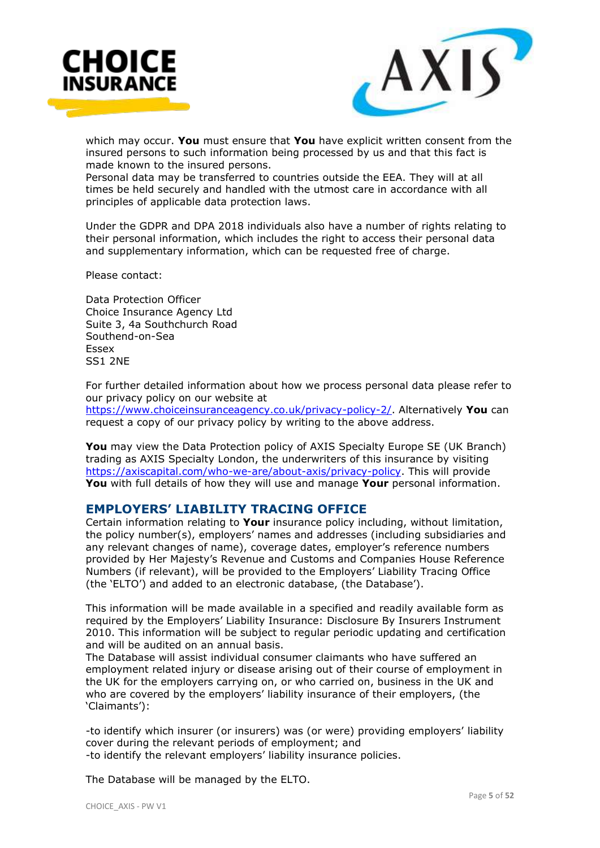



which may occur. **You** must ensure that **You** have explicit written consent from the insured persons to such information being processed by us and that this fact is made known to the insured persons.

Personal data may be transferred to countries outside the EEA. They will at all times be held securely and handled with the utmost care in accordance with all principles of applicable data protection laws.

Under the GDPR and DPA 2018 individuals also have a number of rights relating to their personal information, which includes the right to access their personal data and supplementary information, which can be requested free of charge.

Please contact:

Data Protection Officer Choice Insurance Agency Ltd Suite 3, 4a Southchurch Road Southend-on-Sea Essex SS1 2NE

For further detailed information about how we process personal data please refer to our privacy policy on our website at

[https://www.choiceinsuranceagency.co.uk/privacy-policy-2/.](https://www.choiceinsuranceagency.co.uk/privacy-policy-2/) Alternatively **You** can request a copy of our privacy policy by writing to the above address.

**You** may view the Data Protection policy of AXIS Specialty Europe SE (UK Branch) trading as AXIS Specialty London, the underwriters of this insurance by visiting [https://axiscapital.com/who-we-are/about-axis/privacy-policy.](https://axiscapital.com/who-we-are/about-axis/privacy-policy) This will provide **You** with full details of how they will use and manage **Your** personal information.

# **EMPLOYERS' LIABILITY TRACING OFFICE**

Certain information relating to **Your** insurance policy including, without limitation, the policy number(s), employers' names and addresses (including subsidiaries and any relevant changes of name), coverage dates, employer's reference numbers provided by Her Majesty's Revenue and Customs and Companies House Reference Numbers (if relevant), will be provided to the Employers' Liability Tracing Office (the 'ELTO') and added to an electronic database, (the Database').

This information will be made available in a specified and readily available form as required by the Employers' Liability Insurance: Disclosure By Insurers Instrument 2010. This information will be subject to regular periodic updating and certification and will be audited on an annual basis.

The Database will assist individual consumer claimants who have suffered an employment related injury or disease arising out of their course of employment in the UK for the employers carrying on, or who carried on, business in the UK and who are covered by the employers' liability insurance of their employers, (the 'Claimants'):

-to identify which insurer (or insurers) was (or were) providing employers' liability cover during the relevant periods of employment; and -to identify the relevant employers' liability insurance policies.

The Database will be managed by the ELTO.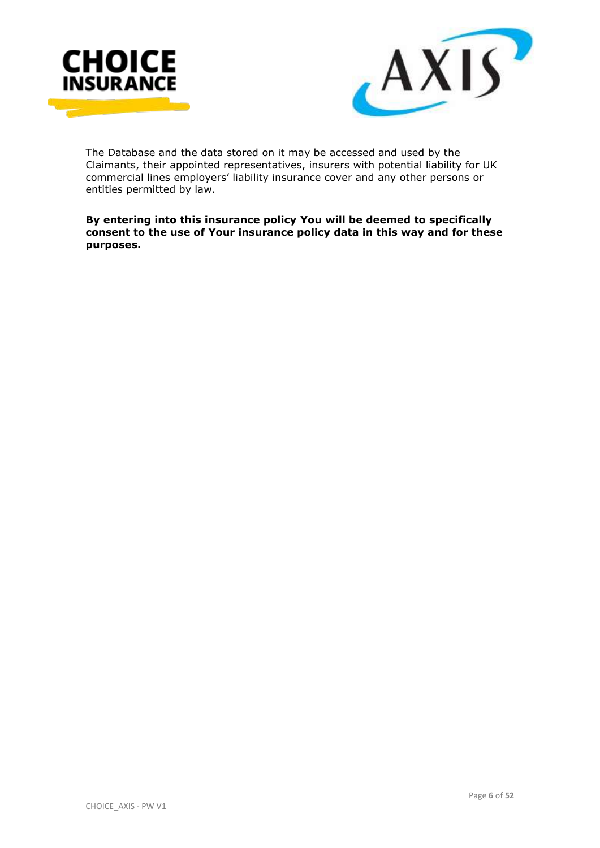



The Database and the data stored on it may be accessed and used by the Claimants, their appointed representatives, insurers with potential liability for UK commercial lines employers' liability insurance cover and any other persons or entities permitted by law.

**By entering into this insurance policy You will be deemed to specifically consent to the use of Your insurance policy data in this way and for these purposes.**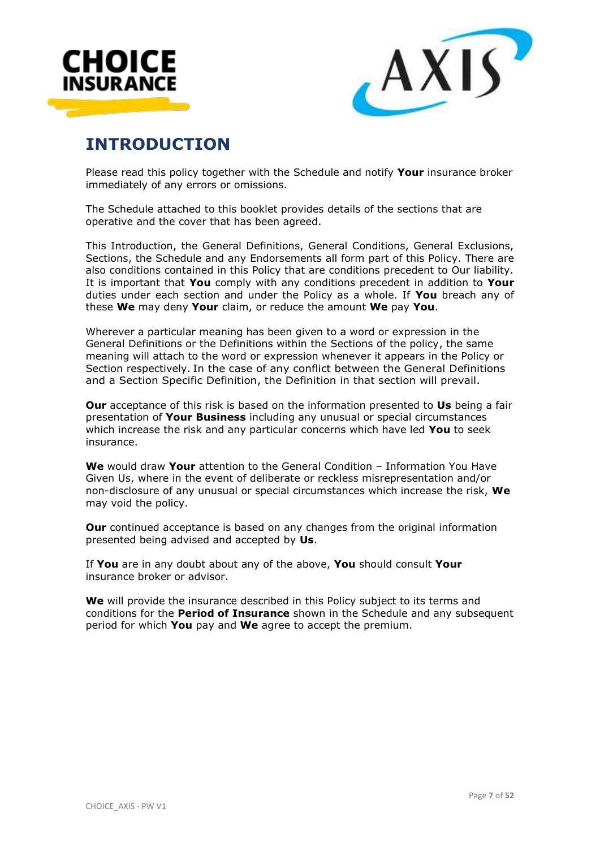



# **INTRODUCTION**

Please read this policy together with the Schedule and notify **Your** insurance broker immediately of any errors or omissions.

The Schedule attached to this booklet provides details of the sections that are operative and the cover that has been agreed.

This Introduction, the General Definitions, General Conditions, General Exclusions, Sections, the Schedule and any Endorsements all form part of this Policy. There are also conditions contained in this Policy that are conditions precedent to Our liability. It is important that **You** comply with any conditions precedent in addition to **Your** duties under each section and under the Policy as a whole. If **You** breach any of these **We** may deny **Your** claim, or reduce the amount **We** pay **You**.

Wherever a particular meaning has been given to a word or expression in the General Definitions or the Definitions within the Sections of the policy, the same meaning will attach to the word or expression whenever it appears in the Policy or Section respectively. In the case of any conflict between the General Definitions and a Section Specific Definition, the Definition in that section will prevail.

**Our** acceptance of this risk is based on the information presented to **Us** being a fair presentation of **Your Business** including any unusual or special circumstances which increase the risk and any particular concerns which have led **You** to seek insurance.

**We** would draw **Your** attention to the General Condition – Information You Have Given Us, where in the event of deliberate or reckless misrepresentation and/or non-disclosure of any unusual or special circumstances which increase the risk, **We** may void the policy.

**Our** continued acceptance is based on any changes from the original information presented being advised and accepted by **Us**.

If **You** are in any doubt about any of the above, **You** should consult **Your** insurance broker or advisor.

**We** will provide the insurance described in this Policy subject to its terms and conditions for the **Period of Insurance** shown in the Schedule and any subsequent period for which **You** pay and **We** agree to accept the premium.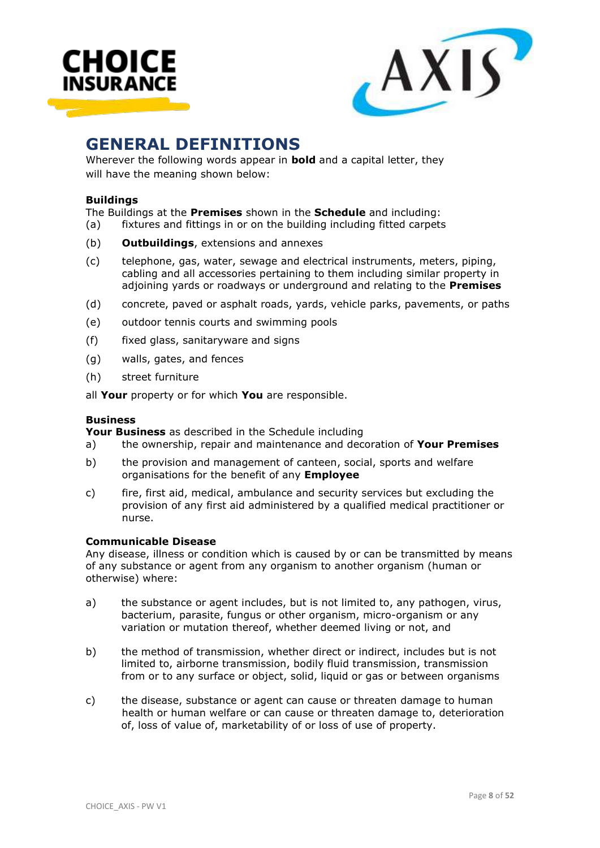



# **GENERAL DEFINITIONS**

Wherever the following words appear in **bold** and a capital letter, they will have the meaning shown below:

#### **Buildings**

The Buildings at the **Premises** shown in the **Schedule** and including:

(a) fixtures and fittings in or on the building including fitted carpets

- (b) **Outbuildings**, extensions and annexes
- (c) telephone, gas, water, sewage and electrical instruments, meters, piping, cabling and all accessories pertaining to them including similar property in adjoining yards or roadways or underground and relating to the **Premises**
- (d) concrete, paved or asphalt roads, yards, vehicle parks, pavements, or paths
- (e) outdoor tennis courts and swimming pools
- (f) fixed glass, sanitaryware and signs
- (g) walls, gates, and fences
- (h) street furniture

all **Your** property or for which **You** are responsible.

#### **Business**

**Your Business** as described in the Schedule including

- a) the ownership, repair and maintenance and decoration of **Your Premises**
- b) the provision and management of canteen, social, sports and welfare organisations for the benefit of any **Employee**
- c) fire, first aid, medical, ambulance and security services but excluding the provision of any first aid administered by a qualified medical practitioner or nurse.

#### **Communicable Disease**

Any disease, illness or condition which is caused by or can be transmitted by means of any substance or agent from any organism to another organism (human or otherwise) where:

- a) the substance or agent includes, but is not limited to, any pathogen, virus, bacterium, parasite, fungus or other organism, micro-organism or any variation or mutation thereof, whether deemed living or not, and
- b) the method of transmission, whether direct or indirect, includes but is not limited to, airborne transmission, bodily fluid transmission, transmission from or to any surface or object, solid, liquid or gas or between organisms
- c) the disease, substance or agent can cause or threaten damage to human health or human welfare or can cause or threaten damage to, deterioration of, loss of value of, marketability of or loss of use of property.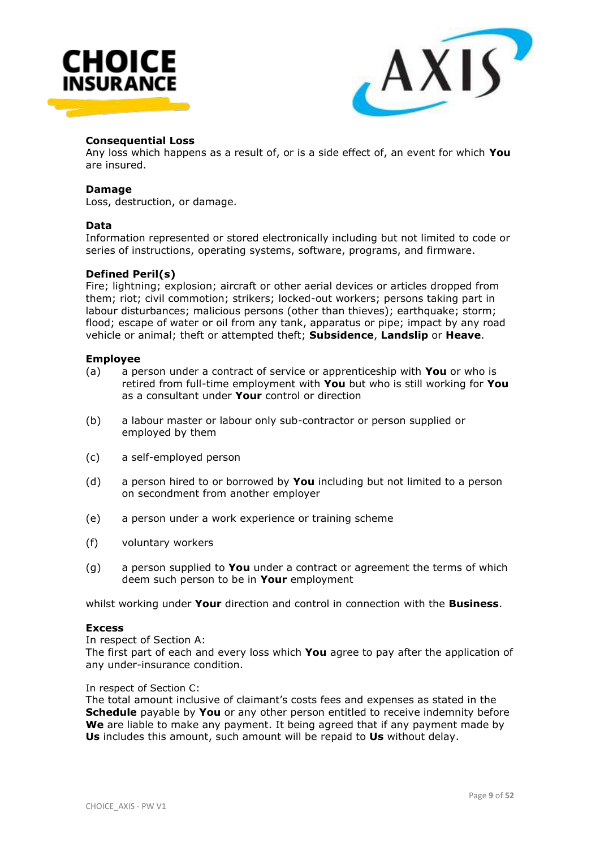



#### **Consequential Loss**

Any loss which happens as a result of, or is a side effect of, an event for which **You**  are insured.

#### **Damage**

Loss, destruction, or damage.

#### **Data**

Information represented or stored electronically including but not limited to code or series of instructions, operating systems, software, programs, and firmware.

#### **Defined Peril(s)**

Fire; lightning; explosion; aircraft or other aerial devices or articles dropped from them; riot; civil commotion; strikers; locked-out workers; persons taking part in labour disturbances; malicious persons (other than thieves); earthquake; storm; flood; escape of water or oil from any tank, apparatus or pipe; impact by any road vehicle or animal; theft or attempted theft; **Subsidence**, **Landslip** or **Heave**.

#### **Employee**

- (a) a person under a contract of service or apprenticeship with **You** or who is retired from full-time employment with **You** but who is still working for **You** as a consultant under **Your** control or direction
- (b) a labour master or labour only sub-contractor or person supplied or employed by them
- (c) a self-employed person
- (d) a person hired to or borrowed by **You** including but not limited to a person on secondment from another employer
- (e) a person under a work experience or training scheme
- (f) voluntary workers
- (g) a person supplied to **You** under a contract or agreement the terms of which deem such person to be in **Your** employment

whilst working under **Your** direction and control in connection with the **Business**.

#### **Excess**

In respect of Section A:

The first part of each and every loss which **You** agree to pay after the application of any under-insurance condition.

In respect of Section C:

The total amount inclusive of claimant's costs fees and expenses as stated in the **Schedule** payable by **You** or any other person entitled to receive indemnity before **We** are liable to make any payment. It being agreed that if any payment made by **Us** includes this amount, such amount will be repaid to **Us** without delay.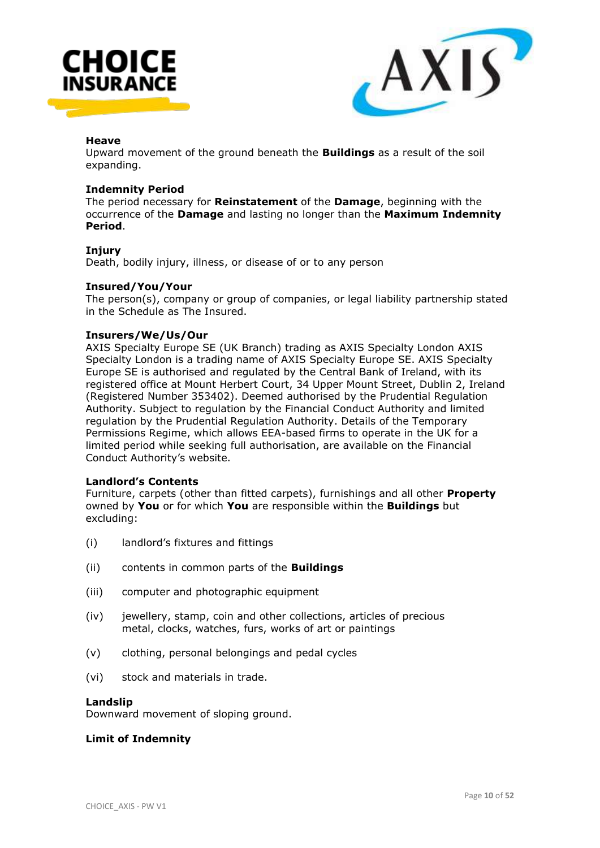



#### **Heave**

Upward movement of the ground beneath the **Buildings** as a result of the soil expanding.

#### **Indemnity Period**

The period necessary for **Reinstatement** of the **Damage**, beginning with the occurrence of the **Damage** and lasting no longer than the **Maximum Indemnity Period**.

#### **Injury**

Death, bodily injury, illness, or disease of or to any person

#### **Insured/You/Your**

The person(s), company or group of companies, or legal liability partnership stated in the Schedule as The Insured.

#### **Insurers/We/Us/Our**

AXIS Specialty Europe SE (UK Branch) trading as AXIS Specialty London AXIS Specialty London is a trading name of AXIS Specialty Europe SE. AXIS Specialty Europe SE is authorised and regulated by the Central Bank of Ireland, with its registered office at Mount Herbert Court, 34 Upper Mount Street, Dublin 2, Ireland (Registered Number 353402). Deemed authorised by the Prudential Regulation Authority. Subject to regulation by the Financial Conduct Authority and limited regulation by the Prudential Regulation Authority. Details of the Temporary Permissions Regime, which allows EEA-based firms to operate in the UK for a limited period while seeking full authorisation, are available on the Financial Conduct Authority's website.

#### **Landlord's Contents**

Furniture, carpets (other than fitted carpets), furnishings and all other **Property** owned by **You** or for which **You** are responsible within the **Buildings** but excluding:

- (i) landlord's fixtures and fittings
- (ii) contents in common parts of the **Buildings**
- (iii) computer and photographic equipment
- (iv) jewellery, stamp, coin and other collections, articles of precious metal, clocks, watches, furs, works of art or paintings
- (v) clothing, personal belongings and pedal cycles
- (vi) stock and materials in trade.

#### **Landslip**

Downward movement of sloping ground.

#### **Limit of Indemnity**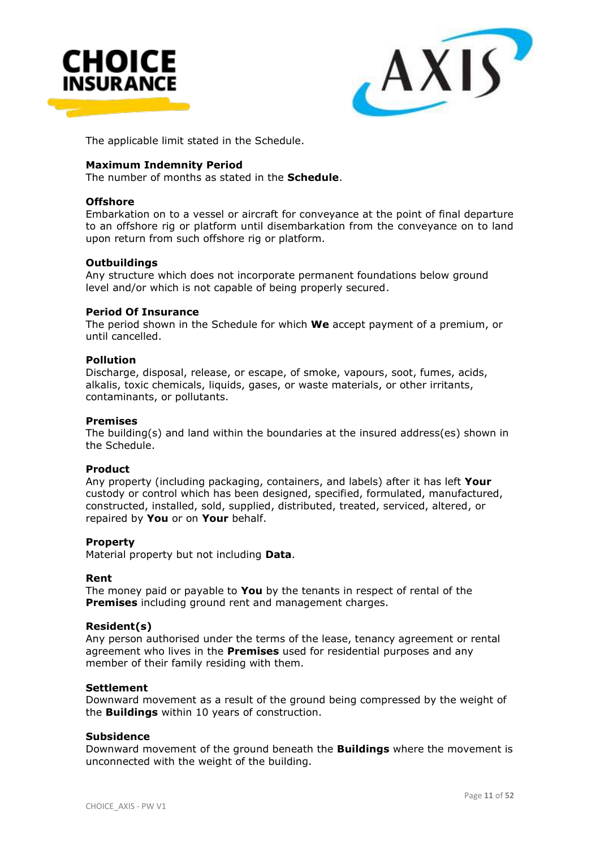



The applicable limit stated in the Schedule.

#### **Maximum Indemnity Period**

The number of months as stated in the **Schedule**.

#### **Offshore**

Embarkation on to a vessel or aircraft for conveyance at the point of final departure to an offshore rig or platform until disembarkation from the conveyance on to land upon return from such offshore rig or platform.

#### **Outbuildings**

Any structure which does not incorporate permanent foundations below ground level and/or which is not capable of being properly secured.

#### **Period Of Insurance**

The period shown in the Schedule for which **We** accept payment of a premium, or until cancelled.

#### **Pollution**

Discharge, disposal, release, or escape, of smoke, vapours, soot, fumes, acids, alkalis, toxic chemicals, liquids, gases, or waste materials, or other irritants, contaminants, or pollutants.

#### **Premises**

The building(s) and land within the boundaries at the insured address(es) shown in the Schedule.

#### **Product**

Any property (including packaging, containers, and labels) after it has left **Your** custody or control which has been designed, specified, formulated, manufactured, constructed, installed, sold, supplied, distributed, treated, serviced, altered, or repaired by **You** or on **Your** behalf.

#### **Property**

Material property but not including **Data**.

#### **Rent**

The money paid or payable to **You** by the tenants in respect of rental of the **Premises** including ground rent and management charges.

#### **Resident(s)**

Any person authorised under the terms of the lease, tenancy agreement or rental agreement who lives in the **Premises** used for residential purposes and any member of their family residing with them.

#### **Settlement**

Downward movement as a result of the ground being compressed by the weight of the **Buildings** within 10 years of construction.

#### **Subsidence**

Downward movement of the ground beneath the **Buildings** where the movement is unconnected with the weight of the building.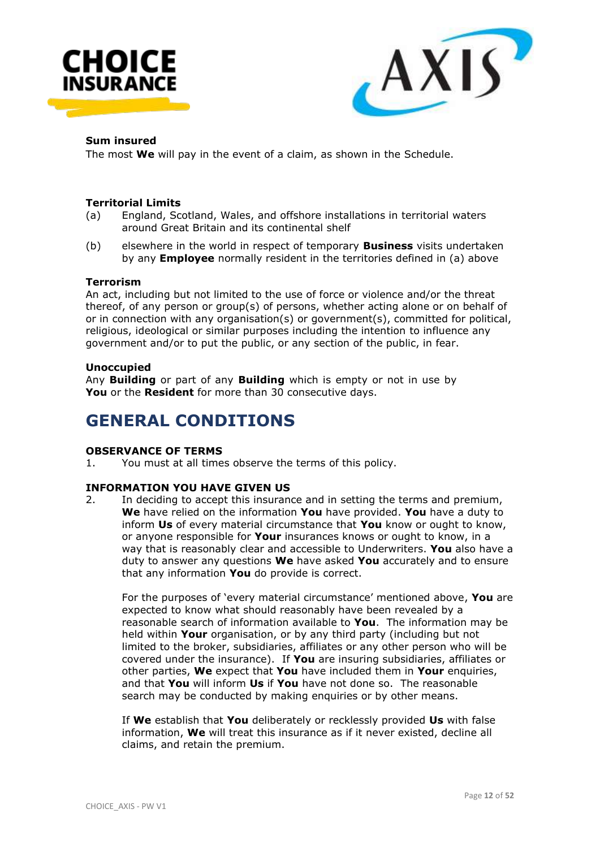



#### **Sum insured**

The most **We** will pay in the event of a claim, as shown in the Schedule.

- **Territorial Limits** England, Scotland, Wales, and offshore installations in territorial waters around Great Britain and its continental shelf
- (b) elsewhere in the world in respect of temporary **Business** visits undertaken by any **Employee** normally resident in the territories defined in (a) above

#### **Terrorism**

An act, including but not limited to the use of force or violence and/or the threat thereof, of any person or group(s) of persons, whether acting alone or on behalf of or in connection with any organisation(s) or government(s), committed for political, religious, ideological or similar purposes including the intention to influence any government and/or to put the public, or any section of the public, in fear.

#### **Unoccupied**

Any **Building** or part of any **Building** which is empty or not in use by **You** or the **Resident** for more than 30 consecutive days.

# **GENERAL CONDITIONS**

#### **OBSERVANCE OF TERMS**

1. You must at all times observe the terms of this policy.

#### **INFORMATION YOU HAVE GIVEN US**

2. In deciding to accept this insurance and in setting the terms and premium, **We** have relied on the information **You** have provided. **You** have a duty to inform **Us** of every material circumstance that **You** know or ought to know, or anyone responsible for **Your** insurances knows or ought to know, in a way that is reasonably clear and accessible to Underwriters. **You** also have a duty to answer any questions **We** have asked **You** accurately and to ensure that any information **You** do provide is correct.

For the purposes of 'every material circumstance' mentioned above, **You** are expected to know what should reasonably have been revealed by a reasonable search of information available to **You**. The information may be held within **Your** organisation, or by any third party (including but not limited to the broker, subsidiaries, affiliates or any other person who will be covered under the insurance). If **You** are insuring subsidiaries, affiliates or other parties, **We** expect that **You** have included them in **Your** enquiries, and that **You** will inform **Us** if **You** have not done so. The reasonable search may be conducted by making enquiries or by other means.

If **We** establish that **You** deliberately or recklessly provided **Us** with false information, **We** will treat this insurance as if it never existed, decline all claims, and retain the premium.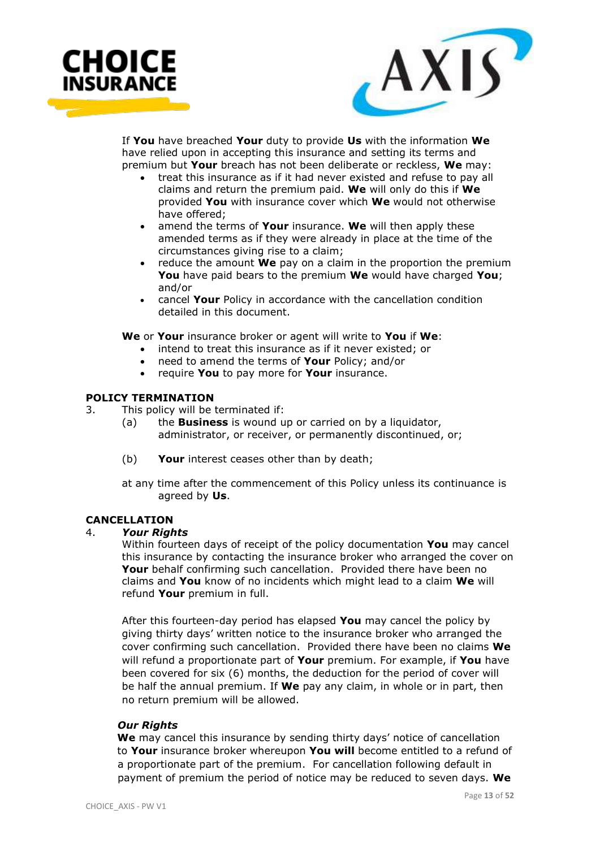



If **You** have breached **Your** duty to provide **Us** with the information **We** have relied upon in accepting this insurance and setting its terms and premium but **Your** breach has not been deliberate or reckless, **We** may:

- treat this insurance as if it had never existed and refuse to pay all claims and return the premium paid. **We** will only do this if **We** provided **You** with insurance cover which **We** would not otherwise have offered;
- amend the terms of **Your** insurance. **We** will then apply these amended terms as if they were already in place at the time of the circumstances giving rise to a claim;
- reduce the amount **We** pay on a claim in the proportion the premium **You** have paid bears to the premium **We** would have charged **You**; and/or
- cancel **Your** Policy in accordance with the cancellation condition detailed in this document.

**We** or **Your** insurance broker or agent will write to **You** if **We**:

- intend to treat this insurance as if it never existed; or
- need to amend the terms of **Your** Policy; and/or
- require **You** to pay more for **Your** insurance.

# **POLICY TERMINATION**

- 3. This policy will be terminated if:
	- (a) the **Business** is wound up or carried on by a liquidator, administrator, or receiver, or permanently discontinued, or;
	- (b) **Your** interest ceases other than by death;

at any time after the commencement of this Policy unless its continuance is agreed by **Us**.

#### **CANCELLATION**

#### 4. *Your Rights*

Within fourteen days of receipt of the policy documentation **You** may cancel this insurance by contacting the insurance broker who arranged the cover on Your behalf confirming such cancellation. Provided there have been no claims and **You** know of no incidents which might lead to a claim **We** will refund **Your** premium in full.

After this fourteen-day period has elapsed **You** may cancel the policy by giving thirty days' written notice to the insurance broker who arranged the cover confirming such cancellation. Provided there have been no claims **We** will refund a proportionate part of **Your** premium. For example, if **You** have been covered for six (6) months, the deduction for the period of cover will be half the annual premium. If **We** pay any claim, in whole or in part, then no return premium will be allowed.

#### *Our Rights*

 **We** may cancel this insurance by sending thirty days' notice of cancellation to **Your** insurance broker whereupon **You will** become entitled to a refund of a proportionate part of the premium. For cancellation following default in payment of premium the period of notice may be reduced to seven days. **We**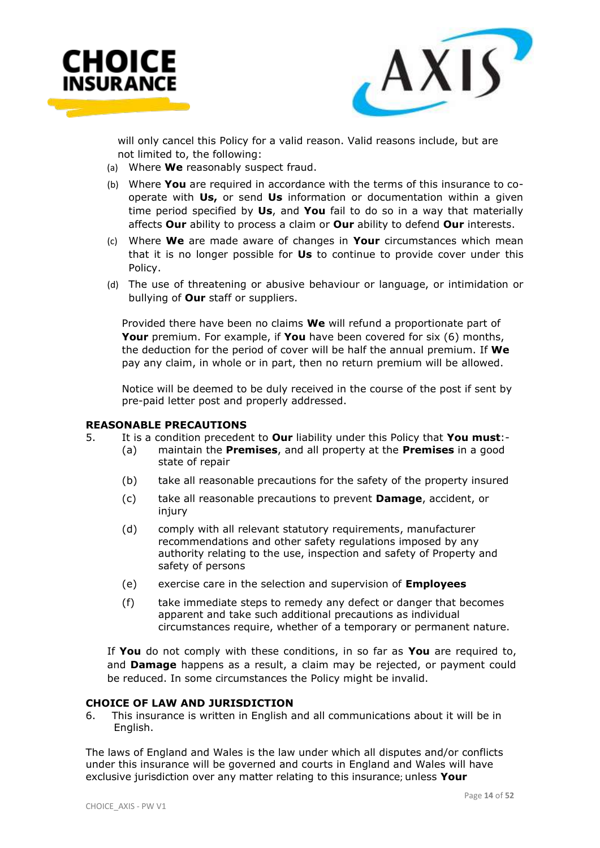



 will only cancel this Policy for a valid reason. Valid reasons include, but are not limited to, the following:

- (a) Where **We** reasonably suspect fraud.
- (b) Where **You** are required in accordance with the terms of this insurance to cooperate with **Us,** or send **Us** information or documentation within a given time period specified by **Us**, and **You** fail to do so in a way that materially affects **Our** ability to process a claim or **Our** ability to defend **Our** interests.
- (c) Where **We** are made aware of changes in **Your** circumstances which mean that it is no longer possible for **Us** to continue to provide cover under this Policy.
- (d) The use of threatening or abusive behaviour or language, or intimidation or bullying of **Our** staff or suppliers.

Provided there have been no claims **We** will refund a proportionate part of **Your** premium. For example, if **You** have been covered for six (6) months, the deduction for the period of cover will be half the annual premium. If **We** pay any claim, in whole or in part, then no return premium will be allowed.

Notice will be deemed to be duly received in the course of the post if sent by pre-paid letter post and properly addressed.

#### **REASONABLE PRECAUTIONS**

- 5. It is a condition precedent to **Our** liability under this Policy that **You must**:-
	- (a) maintain the **Premises**, and all property at the **Premises** in a good state of repair
	- (b) take all reasonable precautions for the safety of the property insured
	- (c) take all reasonable precautions to prevent **Damage**, accident, or injury
	- (d) comply with all relevant statutory requirements, manufacturer recommendations and other safety regulations imposed by any authority relating to the use, inspection and safety of Property and safety of persons
	- (e) exercise care in the selection and supervision of **Employees**
	- (f) take immediate steps to remedy any defect or danger that becomes apparent and take such additional precautions as individual circumstances require, whether of a temporary or permanent nature.

If **You** do not comply with these conditions, in so far as **You** are required to, and **Damage** happens as a result, a claim may be rejected, or payment could be reduced. In some circumstances the Policy might be invalid.

#### **CHOICE OF LAW AND JURISDICTION**

6. This insurance is written in English and all communications about it will be in English.

The laws of England and Wales is the law under which all disputes and/or conflicts under this insurance will be governed and courts in England and Wales will have exclusive jurisdiction over any matter relating to this insurance; unless **Your**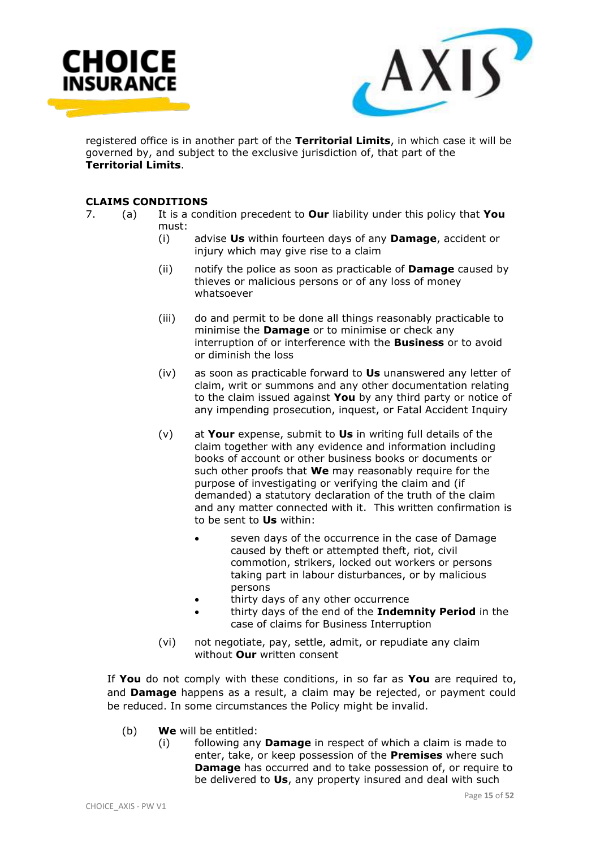



registered office is in another part of the **Territorial Limits**, in which case it will be governed by, and subject to the exclusive jurisdiction of, that part of the **Territorial Limits**.

# **CLAIMS CONDITIONS**

- 7. (a) It is a condition precedent to **Our** liability under this policy that **You** must:
	- (i) advise **Us** within fourteen days of any **Damage**, accident or injury which may give rise to a claim
	- (ii) notify the police as soon as practicable of **Damage** caused by thieves or malicious persons or of any loss of money whatsoever
	- (iii) do and permit to be done all things reasonably practicable to minimise the **Damage** or to minimise or check any interruption of or interference with the **Business** or to avoid or diminish the loss
	- (iv) as soon as practicable forward to **Us** unanswered any letter of claim, writ or summons and any other documentation relating to the claim issued against **You** by any third party or notice of any impending prosecution, inquest, or Fatal Accident Inquiry
	- (v) at **Your** expense, submit to **Us** in writing full details of the claim together with any evidence and information including books of account or other business books or documents or such other proofs that **We** may reasonably require for the purpose of investigating or verifying the claim and (if demanded) a statutory declaration of the truth of the claim and any matter connected with it. This written confirmation is to be sent to **Us** within:
		- seven days of the occurrence in the case of Damage caused by theft or attempted theft, riot, civil commotion, strikers, locked out workers or persons taking part in labour disturbances, or by malicious persons
		- thirty days of any other occurrence
		- thirty days of the end of the **Indemnity Period** in the case of claims for Business Interruption
	- (vi) not negotiate, pay, settle, admit, or repudiate any claim without **Our** written consent

If **You** do not comply with these conditions, in so far as **You** are required to, and **Damage** happens as a result, a claim may be rejected, or payment could be reduced. In some circumstances the Policy might be invalid.

- (b) **We** will be entitled:
	- (i) following any **Damage** in respect of which a claim is made to enter, take, or keep possession of the **Premises** where such **Damage** has occurred and to take possession of, or require to be delivered to **Us**, any property insured and deal with such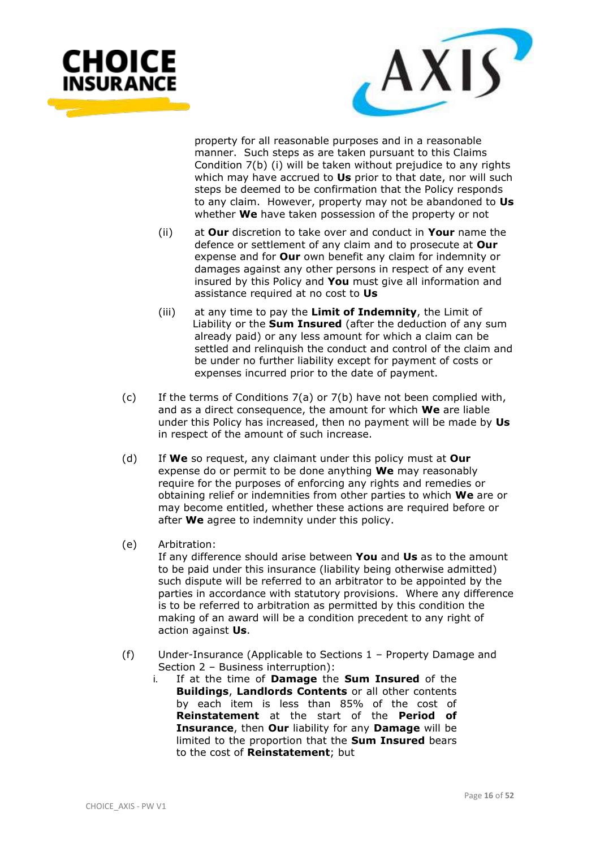



property for all reasonable purposes and in a reasonable manner. Such steps as are taken pursuant to this Claims Condition 7(b) (i) will be taken without prejudice to any rights which may have accrued to **Us** prior to that date, nor will such steps be deemed to be confirmation that the Policy responds to any claim. However, property may not be abandoned to **Us** whether **We** have taken possession of the property or not

- (ii) at **Our** discretion to take over and conduct in **Your** name the defence or settlement of any claim and to prosecute at **Our** expense and for **Our** own benefit any claim for indemnity or damages against any other persons in respect of any event insured by this Policy and **You** must give all information and assistance required at no cost to **Us**
- (iii) at any time to pay the **Limit of Indemnity**, the Limit of Liability or the **Sum Insured** (after the deduction of any sum already paid) or any less amount for which a claim can be settled and relinquish the conduct and control of the claim and be under no further liability except for payment of costs or expenses incurred prior to the date of payment.
- (c) If the terms of Conditions 7(a) or 7(b) have not been complied with, and as a direct consequence, the amount for which **We** are liable under this Policy has increased, then no payment will be made by **Us** in respect of the amount of such increase.
- (d) If **We** so request, any claimant under this policy must at **Our** expense do or permit to be done anything **We** may reasonably require for the purposes of enforcing any rights and remedies or obtaining relief or indemnities from other parties to which **We** are or may become entitled, whether these actions are required before or after **We** agree to indemnity under this policy.
- (e) Arbitration:

If any difference should arise between **You** and **Us** as to the amount to be paid under this insurance (liability being otherwise admitted) such dispute will be referred to an arbitrator to be appointed by the parties in accordance with statutory provisions. Where any difference is to be referred to arbitration as permitted by this condition the making of an award will be a condition precedent to any right of action against **Us**.

- (f) Under-Insurance (Applicable to Sections 1 Property Damage and Section 2 – Business interruption):
	- i. If at the time of **Damage** the **Sum Insured** of the **Buildings**, **Landlords Contents** or all other contents by each item is less than 85% of the cost of **Reinstatement** at the start of the **Period of Insurance**, then **Our** liability for any **Damage** will be limited to the proportion that the **Sum Insured** bears to the cost of **Reinstatement**; but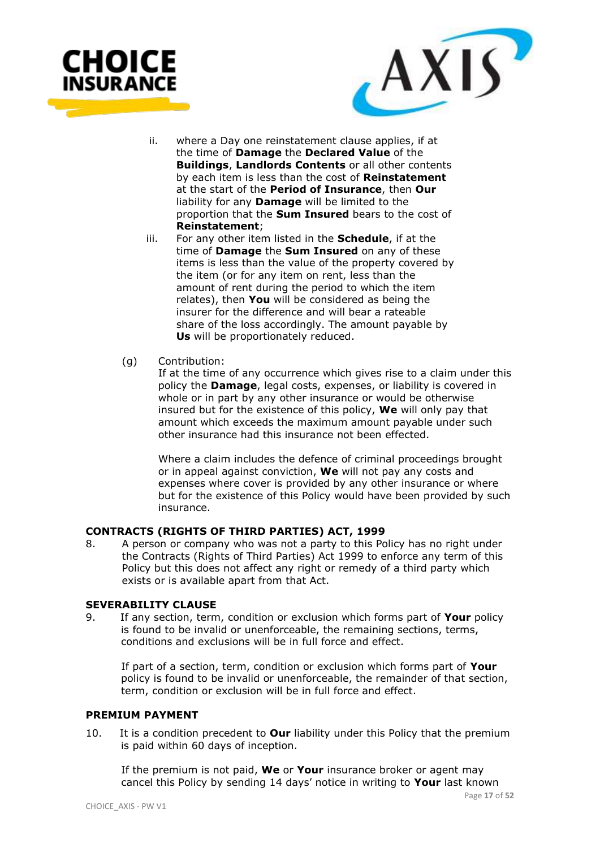



- ii. where a Day one reinstatement clause applies, if at the time of **Damage** the **Declared Value** of the **Buildings**, **Landlords Contents** or all other contents by each item is less than the cost of **Reinstatement**  at the start of the **Period of Insurance**, then **Our**  liability for any **Damage** will be limited to the proportion that the **Sum Insured** bears to the cost of **Reinstatement**;
- iii. For any other item listed in the **Schedule**, if at the time of **Damage** the **Sum Insured** on any of these items is less than the value of the property covered by the item (or for any item on rent, less than the amount of rent during the period to which the item relates), then **You** will be considered as being the insurer for the difference and will bear a rateable share of the loss accordingly. The amount payable by **Us** will be proportionately reduced.
- (g) Contribution:

If at the time of any occurrence which gives rise to a claim under this policy the **Damage**, legal costs, expenses, or liability is covered in whole or in part by any other insurance or would be otherwise insured but for the existence of this policy, **We** will only pay that amount which exceeds the maximum amount payable under such other insurance had this insurance not been effected.

Where a claim includes the defence of criminal proceedings brought or in appeal against conviction, **We** will not pay any costs and expenses where cover is provided by any other insurance or where but for the existence of this Policy would have been provided by such insurance.

# **CONTRACTS (RIGHTS OF THIRD PARTIES) ACT, 1999**

8. A person or company who was not a party to this Policy has no right under the Contracts (Rights of Third Parties) Act 1999 to enforce any term of this Policy but this does not affect any right or remedy of a third party which exists or is available apart from that Act.

#### **SEVERABILITY CLAUSE**

9. If any section, term, condition or exclusion which forms part of **Your** policy is found to be invalid or unenforceable, the remaining sections, terms, conditions and exclusions will be in full force and effect.

 If part of a section, term, condition or exclusion which forms part of **Your**  policy is found to be invalid or unenforceable, the remainder of that section, term, condition or exclusion will be in full force and effect.

#### **PREMIUM PAYMENT**

10. It is a condition precedent to **Our** liability under this Policy that the premium is paid within 60 days of inception.

 If the premium is not paid, **We** or **Your** insurance broker or agent may cancel this Policy by sending 14 days' notice in writing to **Your** last known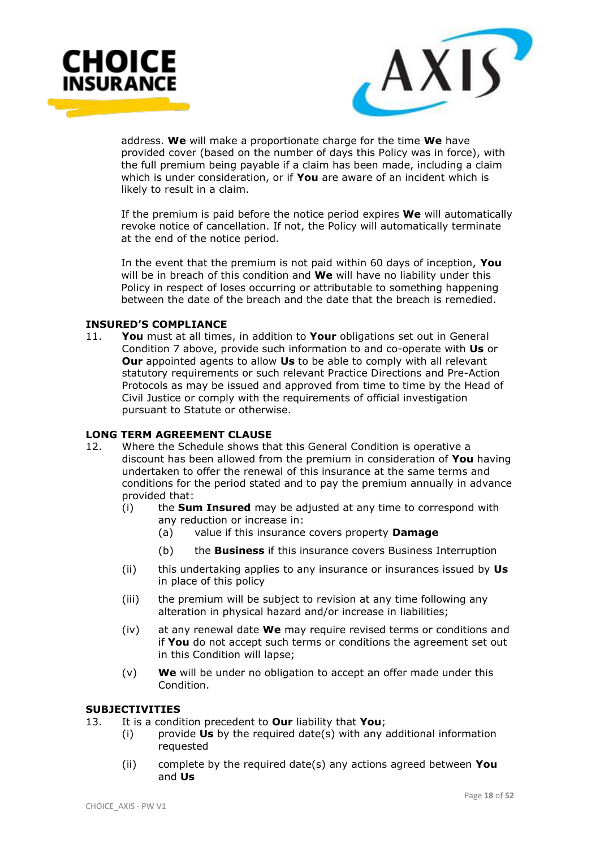



 address. **We** will make a proportionate charge for the time **We** have provided cover (based on the number of days this Policy was in force), with the full premium being payable if a claim has been made, including a claim which is under consideration, or if **You** are aware of an incident which is likely to result in a claim.

 If the premium is paid before the notice period expires **We** will automatically revoke notice of cancellation. If not, the Policy will automatically terminate at the end of the notice period.

 In the event that the premium is not paid within 60 days of inception, **You** will be in breach of this condition and **We** will have no liability under this Policy in respect of loses occurring or attributable to something happening between the date of the breach and the date that the breach is remedied.

#### **INSURED'S COMPLIANCE**

11. **You** must at all times, in addition to **Your** obligations set out in General Condition 7 above, provide such information to and co-operate with **Us** or **Our** appointed agents to allow **Us** to be able to comply with all relevant statutory requirements or such relevant Practice Directions and Pre-Action Protocols as may be issued and approved from time to time by the Head of Civil Justice or comply with the requirements of official investigation pursuant to Statute or otherwise.

#### **LONG TERM AGREEMENT CLAUSE**

- 12. Where the Schedule shows that this General Condition is operative a discount has been allowed from the premium in consideration of **You** having undertaken to offer the renewal of this insurance at the same terms and conditions for the period stated and to pay the premium annually in advance provided that:
	- (i) the **Sum Insured** may be adjusted at any time to correspond with any reduction or increase in:
		- (a) value if this insurance covers property **Damage**
		- (b) the **Business** if this insurance covers Business Interruption
	- (ii) this undertaking applies to any insurance or insurances issued by **Us** in place of this policy
	- (iii) the premium will be subject to revision at any time following any alteration in physical hazard and/or increase in liabilities;
	- (iv) at any renewal date **We** may require revised terms or conditions and if **You** do not accept such terms or conditions the agreement set out in this Condition will lapse;
	- (v) **We** will be under no obligation to accept an offer made under this Condition.

#### **SUBJECTIVITIES**

13. It is a condition precedent to **Our** liability that **You**;

- (i) provide **Us** by the required date(s) with any additional information requested
- (ii) complete by the required date(s) any actions agreed between **You** and **Us**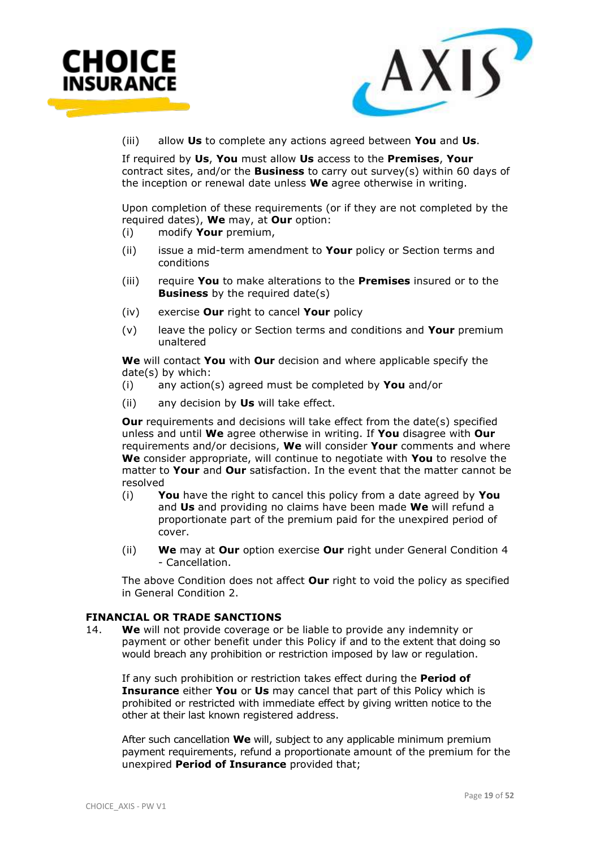



(iii) allow **Us** to complete any actions agreed between **You** and **Us**.

If required by **Us**, **You** must allow **Us** access to the **Premises**, **Your** contract sites, and/or the **Business** to carry out survey(s) within 60 days of the inception or renewal date unless **We** agree otherwise in writing.

Upon completion of these requirements (or if they are not completed by the required dates), **We** may, at **Our** option:

- (i) modify **Your** premium,
- (ii) issue a mid-term amendment to **Your** policy or Section terms and conditions
- (iii) require **You** to make alterations to the **Premises** insured or to the **Business** by the required date(s)
- (iv) exercise **Our** right to cancel **Your** policy
- (v) leave the policy or Section terms and conditions and **Your** premium unaltered

**We** will contact **You** with **Our** decision and where applicable specify the date(s) by which:

- (i) any action(s) agreed must be completed by **You** and/or
- (ii) any decision by **Us** will take effect.

**Our** requirements and decisions will take effect from the date(s) specified unless and until **We** agree otherwise in writing. If **You** disagree with **Our**  requirements and/or decisions, **We** will consider **Your** comments and where **We** consider appropriate, will continue to negotiate with **You** to resolve the matter to **Your** and **Our** satisfaction. In the event that the matter cannot be resolved

- (i) **You** have the right to cancel this policy from a date agreed by **You** and **Us** and providing no claims have been made **We** will refund a proportionate part of the premium paid for the unexpired period of cover.
- (ii) **We** may at **Our** option exercise **Our** right under General Condition 4 - Cancellation.

The above Condition does not affect **Our** right to void the policy as specified in General Condition 2.

#### **FINANCIAL OR TRADE SANCTIONS**

14. **We** will not provide coverage or be liable to provide any indemnity or payment or other benefit under this Policy if and to the extent that doing so would breach any prohibition or restriction imposed by law or regulation.

If any such prohibition or restriction takes effect during the **Period of Insurance** either **You** or **Us** may cancel that part of this Policy which is prohibited or restricted with immediate effect by giving written notice to the other at their last known registered address.

After such cancellation **We** will, subject to any applicable minimum premium payment requirements, refund a proportionate amount of the premium for the unexpired **Period of Insurance** provided that;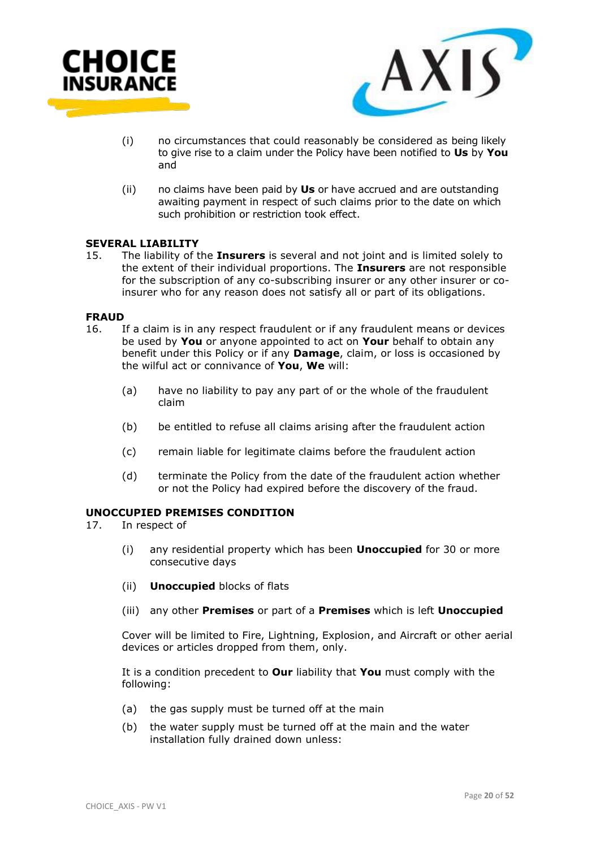



- (i) no circumstances that could reasonably be considered as being likely to give rise to a claim under the Policy have been notified to **Us** by **You** and
- (ii) no claims have been paid by **Us** or have accrued and are outstanding awaiting payment in respect of such claims prior to the date on which such prohibition or restriction took effect.

#### **SEVERAL LIABILITY**

15. The liability of the **Insurers** is several and not joint and is limited solely to the extent of their individual proportions. The **Insurers** are not responsible for the subscription of any co-subscribing insurer or any other insurer or coinsurer who for any reason does not satisfy all or part of its obligations.

#### **FRAUD**

- 16. If a claim is in any respect fraudulent or if any fraudulent means or devices be used by **You** or anyone appointed to act on **Your** behalf to obtain any benefit under this Policy or if any **Damage**, claim, or loss is occasioned by the wilful act or connivance of **You**, **We** will:
	- (a) have no liability to pay any part of or the whole of the fraudulent claim
	- (b) be entitled to refuse all claims arising after the fraudulent action
	- (c) remain liable for legitimate claims before the fraudulent action
	- (d) terminate the Policy from the date of the fraudulent action whether or not the Policy had expired before the discovery of the fraud.

#### **UNOCCUPIED PREMISES CONDITION**

- 17. In respect of
	- (i) any residential property which has been **Unoccupied** for 30 or more consecutive days
	- (ii) **Unoccupied** blocks of flats
	- (iii) any other **Premises** or part of a **Premises** which is left **Unoccupied**

Cover will be limited to Fire, Lightning, Explosion, and Aircraft or other aerial devices or articles dropped from them, only.

It is a condition precedent to **Our** liability that **You** must comply with the following:

- (a) the gas supply must be turned off at the main
- (b) the water supply must be turned off at the main and the water installation fully drained down unless: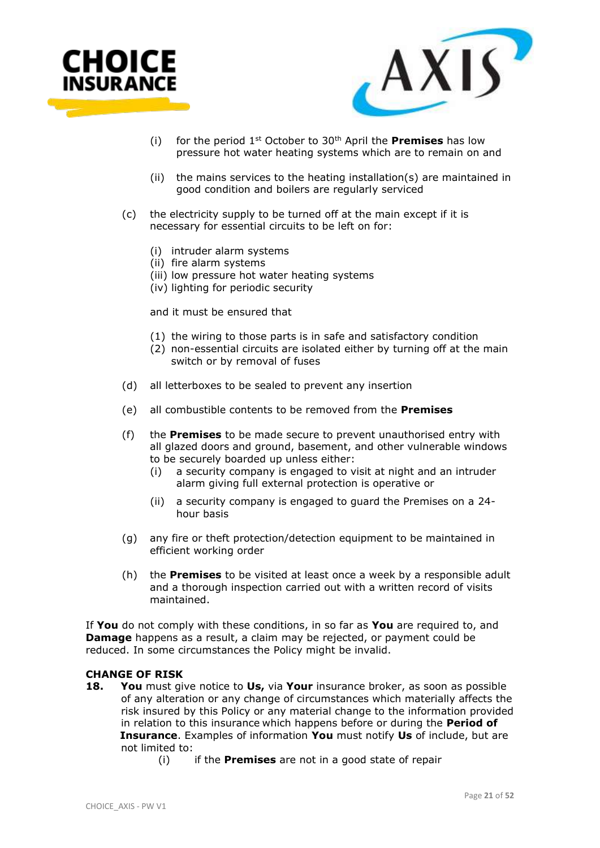



- (i) for the period 1st October to 30th April the **Premises** has low pressure hot water heating systems which are to remain on and
- (ii) the mains services to the heating installation(s) are maintained in good condition and boilers are regularly serviced
- (c) the electricity supply to be turned off at the main except if it is necessary for essential circuits to be left on for:
	- (i) intruder alarm systems
	- (ii) fire alarm systems
	- (iii) low pressure hot water heating systems
	- (iv) lighting for periodic security

and it must be ensured that

- (1) the wiring to those parts is in safe and satisfactory condition
- (2) non-essential circuits are isolated either by turning off at the main switch or by removal of fuses
- (d) all letterboxes to be sealed to prevent any insertion
- (e) all combustible contents to be removed from the **Premises**
- (f) the **Premises** to be made secure to prevent unauthorised entry with all glazed doors and ground, basement, and other vulnerable windows to be securely boarded up unless either:
	- (i) a security company is engaged to visit at night and an intruder alarm giving full external protection is operative or
	- (ii) a security company is engaged to guard the Premises on a 24 hour basis
- (g) any fire or theft protection/detection equipment to be maintained in efficient working order
- (h) the **Premises** to be visited at least once a week by a responsible adult and a thorough inspection carried out with a written record of visits maintained.

If **You** do not comply with these conditions, in so far as **You** are required to, and **Damage** happens as a result, a claim may be rejected, or payment could be reduced. In some circumstances the Policy might be invalid.

#### **CHANGE OF RISK**

- **18. You** must give notice to **Us,** via **Your** insurance broker, as soon as possible of any alteration or any change of circumstances which materially affects the risk insured by this Policy or any material change to the information provided in relation to this insurance which happens before or during the **Period of Insurance**. Examples of information **You** must notify **Us** of include, but are not limited to:
	- (i) if the **Premises** are not in a good state of repair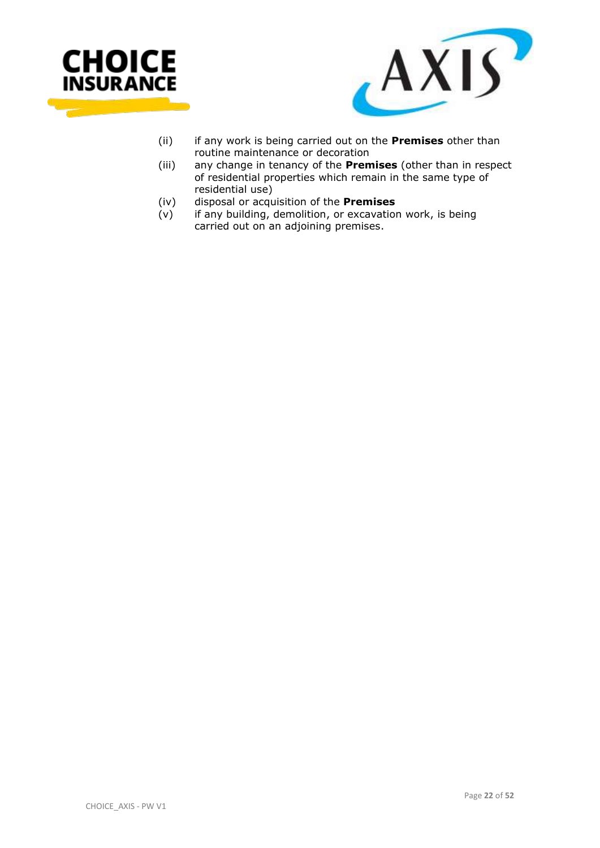



- (ii) if any work is being carried out on the **Premises** other than routine maintenance or decoration
- (iii) any change in tenancy of the **Premises** (other than in respect of residential properties which remain in the same type of residential use)
- (iv) disposal or acquisition of the **Premises**
- (v) if any building, demolition, or excavation work, is being carried out on an adjoining premises.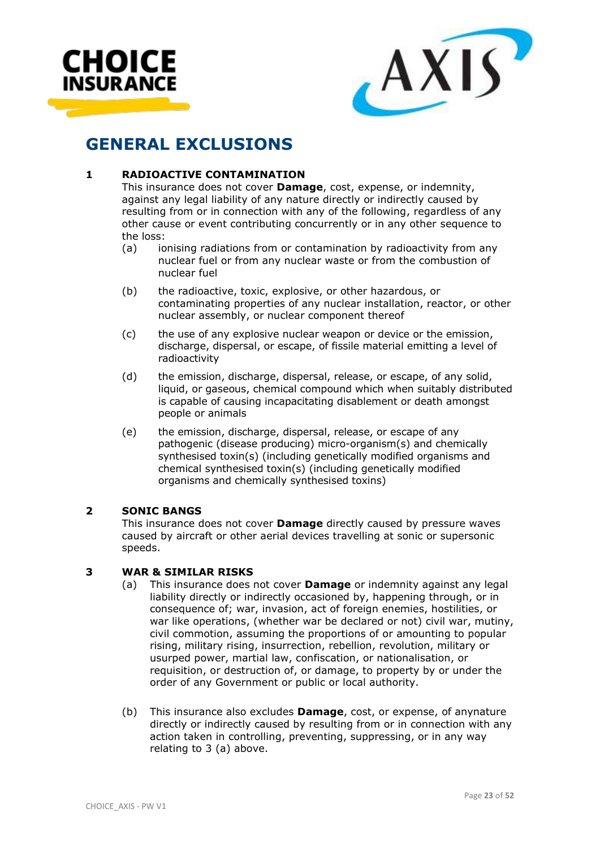



# **GENERAL EXCLUSIONS**

# **1 RADIOACTIVE CONTAMINATION**

This insurance does not cover **Damage**, cost, expense, or indemnity, against any legal liability of any nature directly or indirectly caused by resulting from or in connection with any of the following, regardless of any other cause or event contributing concurrently or in any other sequence to the loss:

- (a) ionising radiations from or contamination by radioactivity from any nuclear fuel or from any nuclear waste or from the combustion of nuclear fuel
- (b) the radioactive, toxic, explosive, or other hazardous, or contaminating properties of any nuclear installation, reactor, or other nuclear assembly, or nuclear component thereof
- (c) the use of any explosive nuclear weapon or device or the emission, discharge, dispersal, or escape, of fissile material emitting a level of radioactivity
- (d) the emission, discharge, dispersal, release, or escape, of any solid, liquid, or gaseous, chemical compound which when suitably distributed is capable of causing incapacitating disablement or death amongst people or animals
- (e) the emission, discharge, dispersal, release, or escape of any pathogenic (disease producing) micro-organism(s) and chemically synthesised toxin(s) (including genetically modified organisms and chemical synthesised toxin(s) (including genetically modified organisms and chemically synthesised toxins)

# **2 SONIC BANGS**

This insurance does not cover **Damage** directly caused by pressure waves caused by aircraft or other aerial devices travelling at sonic or supersonic speeds.

# **3 WAR & SIMILAR RISKS**

- (a) This insurance does not cover **Damage** or indemnity against any legal liability directly or indirectly occasioned by, happening through, or in consequence of; war, invasion, act of foreign enemies, hostilities, or war like operations, (whether war be declared or not) civil war, mutiny, civil commotion, assuming the proportions of or amounting to popular rising, military rising, insurrection, rebellion, revolution, military or usurped power, martial law, confiscation, or nationalisation, or requisition, or destruction of, or damage, to property by or under the order of any Government or public or local authority.
- (b) This insurance also excludes **Damage**, cost, or expense, of anynature directly or indirectly caused by resulting from or in connection with any action taken in controlling, preventing, suppressing, or in any way relating to 3 (a) above.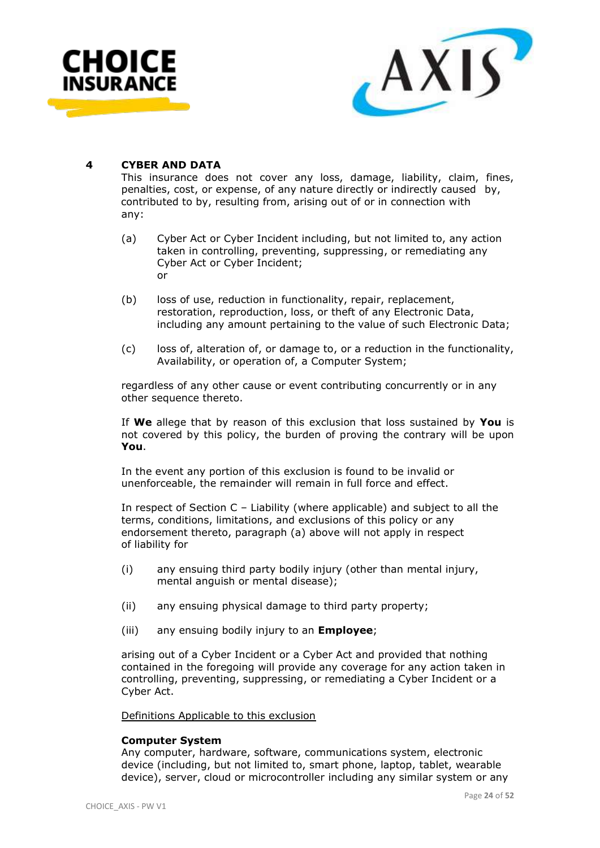



### **4 CYBER AND DATA**

This insurance does not cover any loss, damage, liability, claim, fines, penalties, cost, or expense, of any nature directly or indirectly caused by, contributed to by, resulting from, arising out of or in connection with any:

- (a) Cyber Act or Cyber Incident including, but not limited to, any action taken in controlling, preventing, suppressing, or remediating any Cyber Act or Cyber Incident; or
- (b) loss of use, reduction in functionality, repair, replacement, restoration, reproduction, loss, or theft of any Electronic Data, including any amount pertaining to the value of such Electronic Data;
- (c) loss of, alteration of, or damage to, or a reduction in the functionality, Availability, or operation of, a Computer System;

regardless of any other cause or event contributing concurrently or in any other sequence thereto.

If **We** allege that by reason of this exclusion that loss sustained by **You** is not covered by this policy, the burden of proving the contrary will be upon **You**.

In the event any portion of this exclusion is found to be invalid or unenforceable, the remainder will remain in full force and effect.

In respect of Section C – Liability (where applicable) and subject to all the terms, conditions, limitations, and exclusions of this policy or any endorsement thereto, paragraph (a) above will not apply in respect of liability for

- (i) any ensuing third party bodily injury (other than mental injury, mental anguish or mental disease);
- (ii) any ensuing physical damage to third party property;
- (iii) any ensuing bodily injury to an **Employee**;

arising out of a Cyber Incident or a Cyber Act and provided that nothing contained in the foregoing will provide any coverage for any action taken in controlling, preventing, suppressing, or remediating a Cyber Incident or a Cyber Act.

Definitions Applicable to this exclusion

#### **Computer System**

Any computer, hardware, software, communications system, electronic device (including, but not limited to, smart phone, laptop, tablet, wearable device), server, cloud or microcontroller including any similar system or any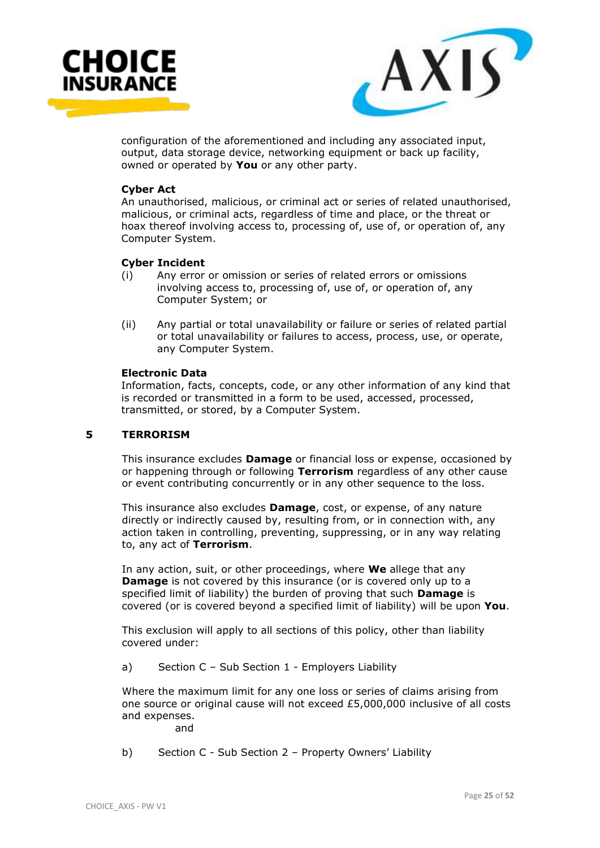



configuration of the aforementioned and including any associated input, output, data storage device, networking equipment or back up facility, owned or operated by **You** or any other party.

#### **Cyber Act**

An unauthorised, malicious, or criminal act or series of related unauthorised, malicious, or criminal acts, regardless of time and place, or the threat or hoax thereof involving access to, processing of, use of, or operation of, any Computer System.

#### **Cyber Incident**

- (i) Any error or omission or series of related errors or omissions involving access to, processing of, use of, or operation of, any Computer System; or
- (ii) Any partial or total unavailability or failure or series of related partial or total unavailability or failures to access, process, use, or operate, any Computer System.

#### **Electronic Data**

Information, facts, concepts, code, or any other information of any kind that is recorded or transmitted in a form to be used, accessed, processed, transmitted, or stored, by a Computer System.

#### **5 TERRORISM**

This insurance excludes **Damage** or financial loss or expense, occasioned by or happening through or following **Terrorism** regardless of any other cause or event contributing concurrently or in any other sequence to the loss.

This insurance also excludes **Damage**, cost, or expense, of any nature directly or indirectly caused by, resulting from, or in connection with, any action taken in controlling, preventing, suppressing, or in any way relating to, any act of **Terrorism**.

In any action, suit, or other proceedings, where **We** allege that any **Damage** is not covered by this insurance (or is covered only up to a specified limit of liability) the burden of proving that such **Damage** is covered (or is covered beyond a specified limit of liability) will be upon **You**.

This exclusion will apply to all sections of this policy, other than liability covered under:

a) Section C – Sub Section 1 - Employers Liability

Where the maximum limit for any one loss or series of claims arising from one source or original cause will not exceed £5,000,000 inclusive of all costs and expenses.

and

b) Section C - Sub Section 2 – Property Owners' Liability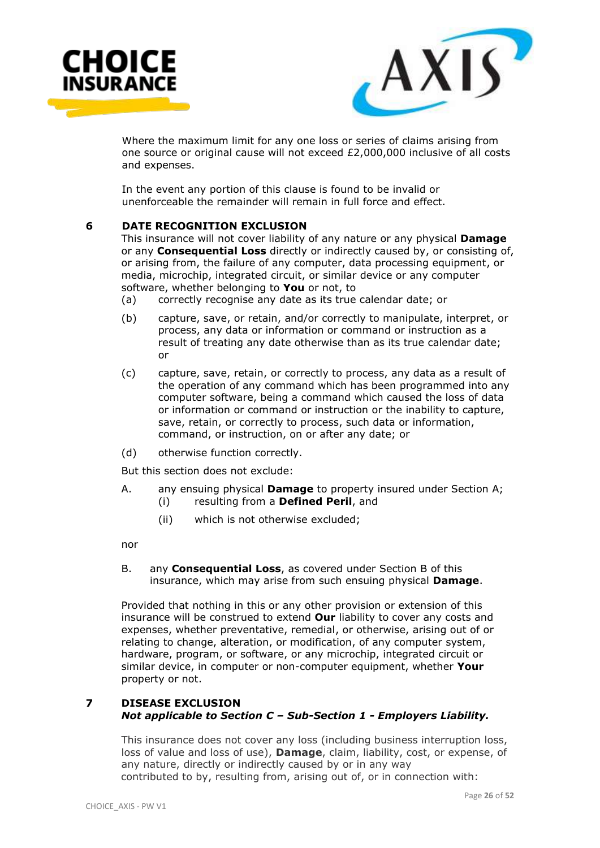



Where the maximum limit for any one loss or series of claims arising from one source or original cause will not exceed £2,000,000 inclusive of all costs and expenses.

In the event any portion of this clause is found to be invalid or unenforceable the remainder will remain in full force and effect.

#### **6 DATE RECOGNITION EXCLUSION**

This insurance will not cover liability of any nature or any physical **Damage** or any **Consequential Loss** directly or indirectly caused by, or consisting of, or arising from, the failure of any computer, data processing equipment, or media, microchip, integrated circuit, or similar device or any computer software, whether belonging to **You** or not, to

- (a) correctly recognise any date as its true calendar date; or
- (b) capture, save, or retain, and/or correctly to manipulate, interpret, or process, any data or information or command or instruction as a result of treating any date otherwise than as its true calendar date; or
- (c) capture, save, retain, or correctly to process, any data as a result of the operation of any command which has been programmed into any computer software, being a command which caused the loss of data or information or command or instruction or the inability to capture, save, retain, or correctly to process, such data or information, command, or instruction, on or after any date; or
- (d) otherwise function correctly.

But this section does not exclude:

- A. any ensuing physical **Damage** to property insured under Section A;
	- (i) resulting from a **Defined Peril**, and
	- (ii) which is not otherwise excluded;

nor

B. any **Consequential Loss**, as covered under Section B of this insurance, which may arise from such ensuing physical **Damage**.

Provided that nothing in this or any other provision or extension of this insurance will be construed to extend **Our** liability to cover any costs and expenses, whether preventative, remedial, or otherwise, arising out of or relating to change, alteration, or modification, of any computer system, hardware, program, or software, or any microchip, integrated circuit or similar device, in computer or non-computer equipment, whether **Your** property or not.

# **7 DISEASE EXCLUSION** *Not applicable to Section C – Sub-Section 1 - Employers Liability.*

This insurance does not cover any loss (including business interruption loss, loss of value and loss of use), **Damage**, claim, liability, cost, or expense, of any nature, directly or indirectly caused by or in any way contributed to by, resulting from, arising out of, or in connection with: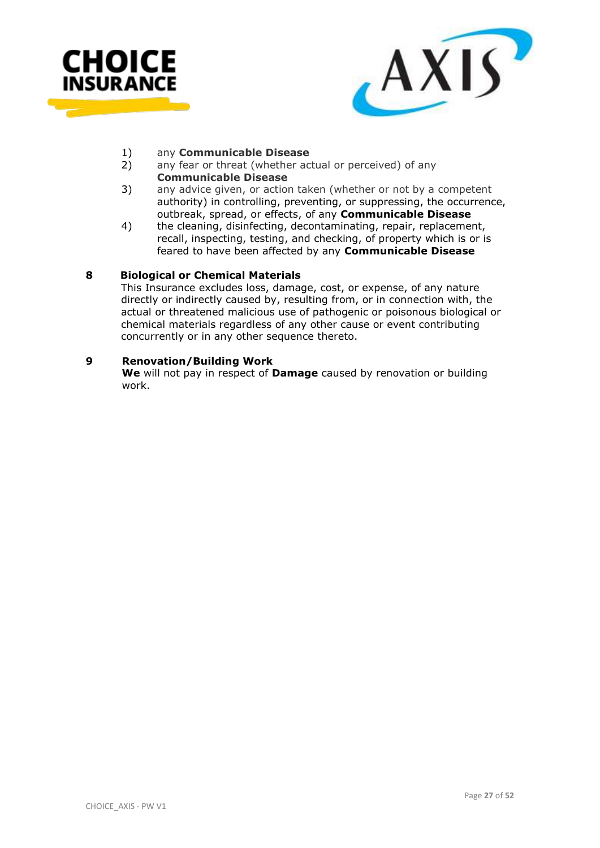



#### 1) any **Communicable Disease**

- 2) any fear or threat (whether actual or perceived) of any **Communicable Disease**
- 3) any advice given, or action taken (whether or not by a competent authority) in controlling, preventing, or suppressing, the occurrence, outbreak, spread, or effects, of any **Communicable Disease**
- 4) the cleaning, disinfecting, decontaminating, repair, replacement, recall, inspecting, testing, and checking, of property which is or is feared to have been affected by any **Communicable Disease**

#### **8 Biological or Chemical Materials**

 This Insurance excludes loss, damage, cost, or expense, of any nature directly or indirectly caused by, resulting from, or in connection with, the actual or threatened malicious use of pathogenic or poisonous biological or chemical materials regardless of any other cause or event contributing concurrently or in any other sequence thereto.

#### **9 Renovation/Building Work**

**We** will not pay in respect of **Damage** caused by renovation or building work.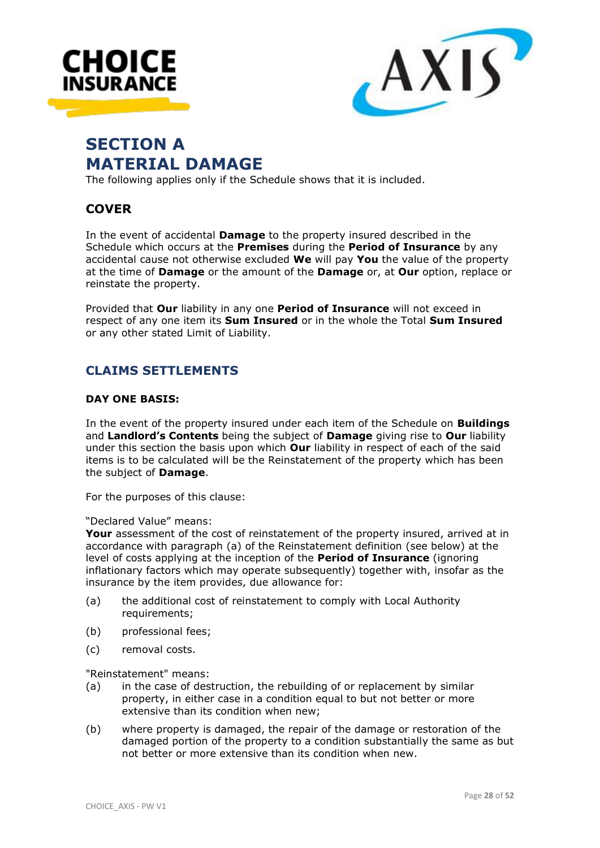



# **SECTION A MATERIAL DAMAGE**

The following applies only if the Schedule shows that it is included.

# **COVER**

In the event of accidental **Damage** to the property insured described in the Schedule which occurs at the **Premises** during the **Period of Insurance** by any accidental cause not otherwise excluded **We** will pay **You** the value of the property at the time of **Damage** or the amount of the **Damage** or, at **Our** option, replace or reinstate the property.

Provided that **Our** liability in any one **Period of Insurance** will not exceed in respect of any one item its **Sum Insured** or in the whole the Total **Sum Insured** or any other stated Limit of Liability.

# **CLAIMS SETTLEMENTS**

#### **DAY ONE BASIS:**

In the event of the property insured under each item of the Schedule on **Buildings** and **Landlord's Contents** being the subject of **Damage** giving rise to **Our** liability under this section the basis upon which **Our** liability in respect of each of the said items is to be calculated will be the Reinstatement of the property which has been the subject of **Damage**.

For the purposes of this clause:

"Declared Value" means:

**Your** assessment of the cost of reinstatement of the property insured, arrived at in accordance with paragraph (a) of the Reinstatement definition (see below) at the level of costs applying at the inception of the **Period of Insurance** (ignoring inflationary factors which may operate subsequently) together with, insofar as the insurance by the item provides, due allowance for:

- (a) the additional cost of reinstatement to comply with Local Authority requirements;
- (b) professional fees;
- (c) removal costs.

"Reinstatement" means:

- (a) in the case of destruction, the rebuilding of or replacement by similar property, in either case in a condition equal to but not better or more extensive than its condition when new;
- (b) where property is damaged, the repair of the damage or restoration of the damaged portion of the property to a condition substantially the same as but not better or more extensive than its condition when new.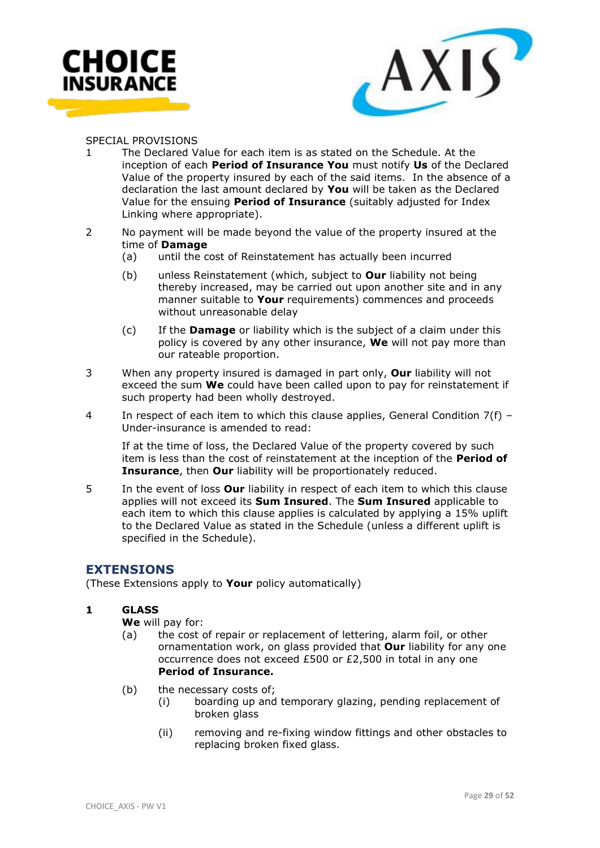



#### SPECIAL PROVISIONS

- The Declared Value for each item is as stated on the Schedule. At the inception of each **Period of Insurance You** must notify **Us** of the Declared Value of the property insured by each of the said items. In the absence of a declaration the last amount declared by **You** will be taken as the Declared Value for the ensuing **Period of Insurance** (suitably adjusted for Index Linking where appropriate).
- 2 No payment will be made beyond the value of the property insured at the time of **Damage**
	- (a) until the cost of Reinstatement has actually been incurred
	- (b) unless Reinstatement (which, subject to **Our** liability not being thereby increased, may be carried out upon another site and in any manner suitable to **Your** requirements) commences and proceeds without unreasonable delay
	- (c) If the **Damage** or liability which is the subject of a claim under this policy is covered by any other insurance, **We** will not pay more than our rateable proportion.
- 3 When any property insured is damaged in part only, **Our** liability will not exceed the sum **We** could have been called upon to pay for reinstatement if such property had been wholly destroyed.
- 4 In respect of each item to which this clause applies, General Condition 7(f) Under-insurance is amended to read:

If at the time of loss, the Declared Value of the property covered by such item is less than the cost of reinstatement at the inception of the **Period of Insurance**, then **Our** liability will be proportionately reduced.

5 In the event of loss **Our** liability in respect of each item to which this clause applies will not exceed its **Sum Insured**. The **Sum Insured** applicable to each item to which this clause applies is calculated by applying a 15% uplift to the Declared Value as stated in the Schedule (unless a different uplift is specified in the Schedule).

# **EXTENSIONS**

(These Extensions apply to **Your** policy automatically)

# **1 GLASS**

**We** will pay for:

- (a) the cost of repair or replacement of lettering, alarm foil, or other ornamentation work, on glass provided that **Our** liability for any one occurrence does not exceed £500 or £2,500 in total in any one **Period of Insurance.**
- (b) the necessary costs of;
	- (i) boarding up and temporary glazing, pending replacement of broken glass
	- (ii) removing and re-fixing window fittings and other obstacles to replacing broken fixed glass.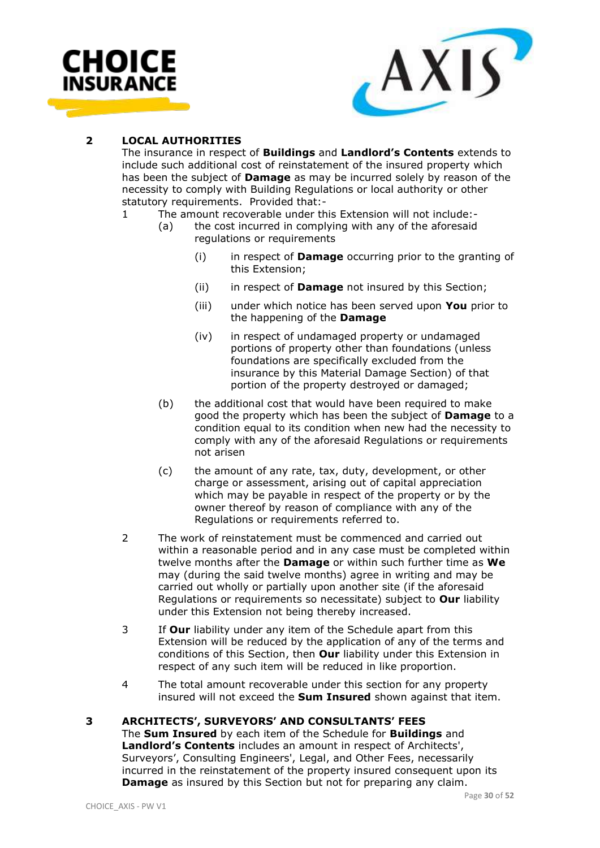



# **2 LOCAL AUTHORITIES**

The insurance in respect of **Buildings** and **Landlord's Contents** extends to include such additional cost of reinstatement of the insured property which has been the subject of **Damage** as may be incurred solely by reason of the necessity to comply with Building Regulations or local authority or other statutory requirements. Provided that:-

- 1 The amount recoverable under this Extension will not include:-
	- (a) the cost incurred in complying with any of the aforesaid regulations or requirements
		- (i) in respect of **Damage** occurring prior to the granting of this Extension;
		- (ii) in respect of **Damage** not insured by this Section;
		- (iii) under which notice has been served upon **You** prior to the happening of the **Damage**
		- (iv) in respect of undamaged property or undamaged portions of property other than foundations (unless foundations are specifically excluded from the insurance by this Material Damage Section) of that portion of the property destroyed or damaged;
	- (b) the additional cost that would have been required to make good the property which has been the subject of **Damage** to a condition equal to its condition when new had the necessity to comply with any of the aforesaid Regulations or requirements not arisen
	- (c) the amount of any rate, tax, duty, development, or other charge or assessment, arising out of capital appreciation which may be payable in respect of the property or by the owner thereof by reason of compliance with any of the Regulations or requirements referred to.
- 2 The work of reinstatement must be commenced and carried out within a reasonable period and in any case must be completed within twelve months after the **Damage** or within such further time as **We** may (during the said twelve months) agree in writing and may be carried out wholly or partially upon another site (if the aforesaid Regulations or requirements so necessitate) subject to **Our** liability under this Extension not being thereby increased.
- 3 If **Our** liability under any item of the Schedule apart from this Extension will be reduced by the application of any of the terms and conditions of this Section, then **Our** liability under this Extension in respect of any such item will be reduced in like proportion.
- 4 The total amount recoverable under this section for any property insured will not exceed the **Sum Insured** shown against that item.

# **3 ARCHITECTS', SURVEYORS' AND CONSULTANTS' FEES**

The **Sum Insured** by each item of the Schedule for **Buildings** and **Landlord's Contents** includes an amount in respect of Architects', Surveyors', Consulting Engineers', Legal, and Other Fees, necessarily incurred in the reinstatement of the property insured consequent upon its **Damage** as insured by this Section but not for preparing any claim.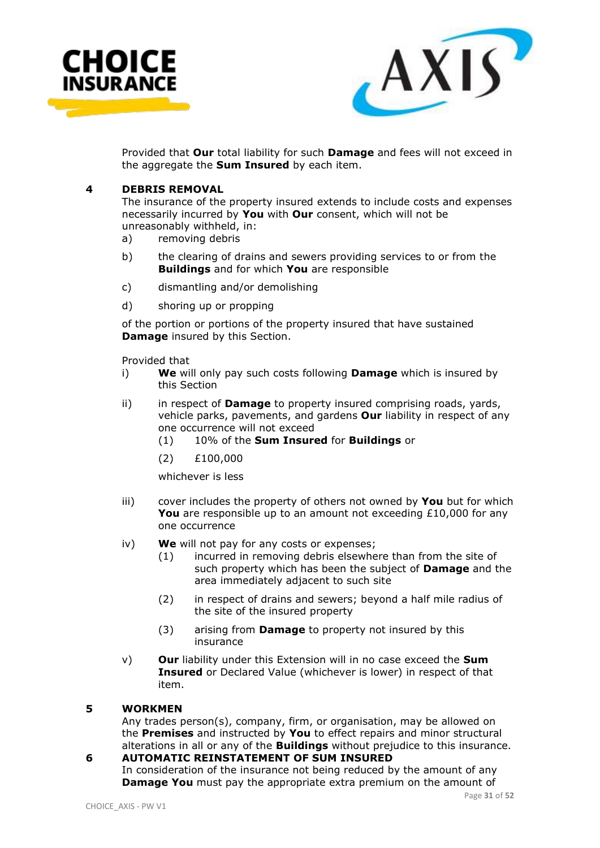

![](_page_30_Picture_1.jpeg)

Provided that **Our** total liability for such **Damage** and fees will not exceed in the aggregate the **Sum Insured** by each item.

#### **4 DEBRIS REMOVAL**

The insurance of the property insured extends to include costs and expenses necessarily incurred by **You** with **Our** consent, which will not be unreasonably withheld, in:

- a) removing debris
- b) the clearing of drains and sewers providing services to or from the **Buildings** and for which **You** are responsible
- c) dismantling and/or demolishing
- d) shoring up or propping

of the portion or portions of the property insured that have sustained **Damage** insured by this Section.

Provided that

- i) **We** will only pay such costs following **Damage** which is insured by this Section
- ii) in respect of **Damage** to property insured comprising roads, yards, vehicle parks, pavements, and gardens **Our** liability in respect of any one occurrence will not exceed
	- (1) 10% of the **Sum Insured** for **Buildings** or
	- (2) £100,000

whichever is less

- iii) cover includes the property of others not owned by **You** but for which **You** are responsible up to an amount not exceeding £10,000 for any one occurrence
- iv) **We** will not pay for any costs or expenses;
	- (1) incurred in removing debris elsewhere than from the site of such property which has been the subject of **Damage** and the area immediately adjacent to such site
	- (2) in respect of drains and sewers; beyond a half mile radius of the site of the insured property
	- (3) arising from **Damage** to property not insured by this insurance
- v) **Our** liability under this Extension will in no case exceed the **Sum Insured** or Declared Value (whichever is lower) in respect of that item.

#### **5 WORKMEN**

Any trades person(s), company, firm, or organisation, may be allowed on the **Premises** and instructed by **You** to effect repairs and minor structural alterations in all or any of the **Buildings** without prejudice to this insurance.

# **6 AUTOMATIC REINSTATEMENT OF SUM INSURED**

In consideration of the insurance not being reduced by the amount of any **Damage You** must pay the appropriate extra premium on the amount of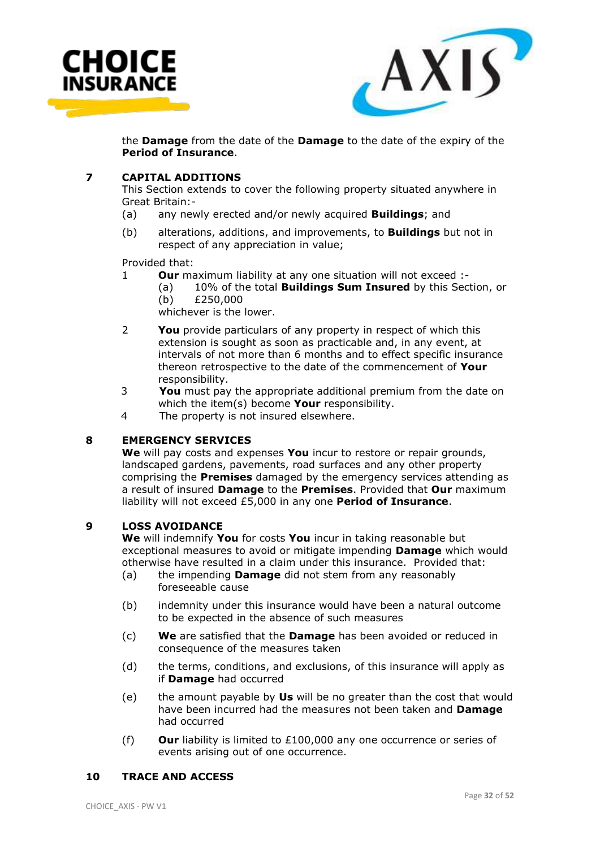![](_page_31_Picture_0.jpeg)

![](_page_31_Picture_1.jpeg)

the **Damage** from the date of the **Damage** to the date of the expiry of the **Period of Insurance**.

# **7 CAPITAL ADDITIONS**

This Section extends to cover the following property situated anywhere in Great Britain:-

- (a) any newly erected and/or newly acquired **Buildings**; and
- (b) alterations, additions, and improvements, to **Buildings** but not in respect of any appreciation in value;

Provided that:

- 1 **Our** maximum liability at any one situation will not exceed :-
	- (a) 10% of the total **Buildings Sum Insured** by this Section, or (b) £250,000
	- whichever is the lower.
- 2 **You** provide particulars of any property in respect of which this extension is sought as soon as practicable and, in any event, at intervals of not more than 6 months and to effect specific insurance thereon retrospective to the date of the commencement of **Your** responsibility.
- 3 **You** must pay the appropriate additional premium from the date on which the item(s) become **Your** responsibility.
- 4 The property is not insured elsewhere.

#### **8 EMERGENCY SERVICES**

**We** will pay costs and expenses **You** incur to restore or repair grounds, landscaped gardens, pavements, road surfaces and any other property comprising the **Premises** damaged by the emergency services attending as a result of insured **Damage** to the **Premises**. Provided that **Our** maximum liability will not exceed £5,000 in any one **Period of Insurance**.

#### **9 LOSS AVOIDANCE**

**We** will indemnify **You** for costs **You** incur in taking reasonable but exceptional measures to avoid or mitigate impending **Damage** which would otherwise have resulted in a claim under this insurance. Provided that:

- (a) the impending **Damage** did not stem from any reasonably foreseeable cause
- (b) indemnity under this insurance would have been a natural outcome to be expected in the absence of such measures
- (c) **We** are satisfied that the **Damage** has been avoided or reduced in consequence of the measures taken
- (d) the terms, conditions, and exclusions, of this insurance will apply as if **Damage** had occurred
- (e) the amount payable by **Us** will be no greater than the cost that would have been incurred had the measures not been taken and **Damage**  had occurred
- (f) **Our** liability is limited to £100,000 any one occurrence or series of events arising out of one occurrence.

#### **10 TRACE AND ACCESS**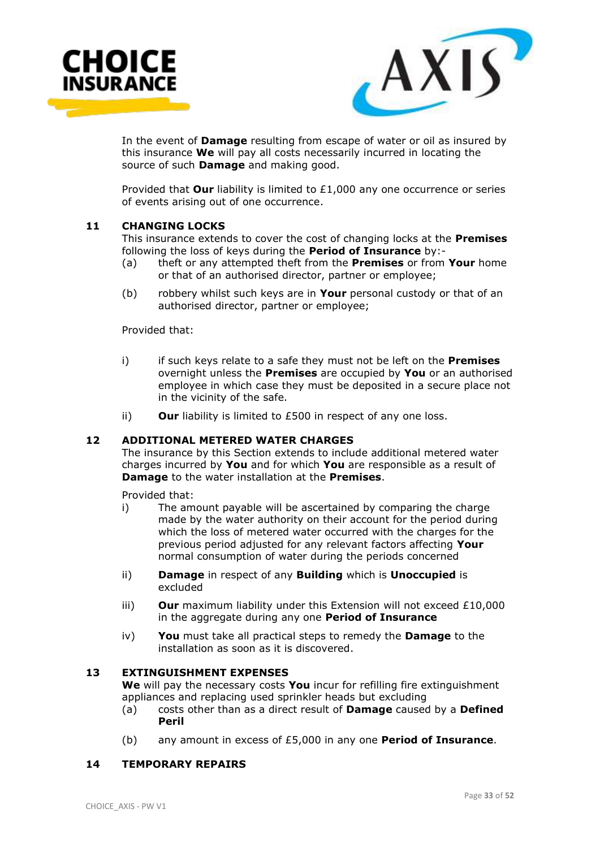![](_page_32_Picture_0.jpeg)

![](_page_32_Picture_1.jpeg)

In the event of **Damage** resulting from escape of water or oil as insured by this insurance **We** will pay all costs necessarily incurred in locating the source of such **Damage** and making good.

Provided that **Our** liability is limited to £1,000 any one occurrence or series of events arising out of one occurrence.

#### **11 CHANGING LOCKS**

This insurance extends to cover the cost of changing locks at the **Premises** following the loss of keys during the **Period of Insurance** by:-

- (a) theft or any attempted theft from the **Premises** or from **Your** home or that of an authorised director, partner or employee;
- (b) robbery whilst such keys are in **Your** personal custody or that of an authorised director, partner or employee;

Provided that:

- i) if such keys relate to a safe they must not be left on the **Premises** overnight unless the **Premises** are occupied by **You** or an authorised employee in which case they must be deposited in a secure place not in the vicinity of the safe.
- ii) **Our** liability is limited to £500 in respect of any one loss.

#### **12 ADDITIONAL METERED WATER CHARGES**

The insurance by this Section extends to include additional metered water charges incurred by **You** and for which **You** are responsible as a result of **Damage** to the water installation at the **Premises**.

Provided that:

- i) The amount payable will be ascertained by comparing the charge made by the water authority on their account for the period during which the loss of metered water occurred with the charges for the previous period adjusted for any relevant factors affecting **Your** normal consumption of water during the periods concerned
- ii) **Damage** in respect of any **Building** which is **Unoccupied** is excluded
- iii) **Our** maximum liability under this Extension will not exceed £10,000 in the aggregate during any one **Period of Insurance**
- iv) **You** must take all practical steps to remedy the **Damage** to the installation as soon as it is discovered.

#### **13 EXTINGUISHMENT EXPENSES**

**We** will pay the necessary costs **You** incur for refilling fire extinguishment appliances and replacing used sprinkler heads but excluding

- (a) costs other than as a direct result of **Damage** caused by a **Defined Peril**
- (b) any amount in excess of £5,000 in any one **Period of Insurance**.

#### **14 TEMPORARY REPAIRS**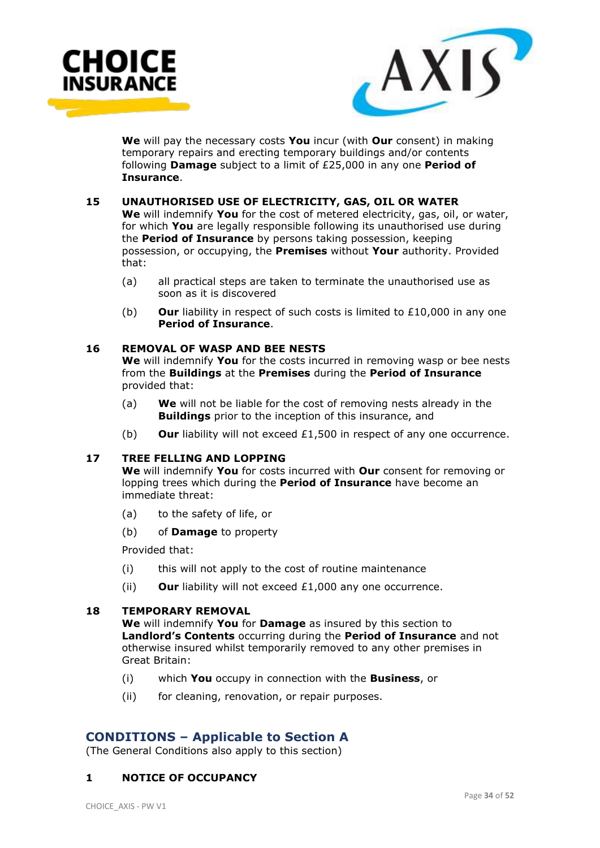![](_page_33_Picture_0.jpeg)

![](_page_33_Picture_1.jpeg)

**We** will pay the necessary costs **You** incur (with **Our** consent) in making temporary repairs and erecting temporary buildings and/or contents following **Damage** subject to a limit of £25,000 in any one **Period of Insurance**.

#### **15 UNAUTHORISED USE OF ELECTRICITY, GAS, OIL OR WATER**

**We** will indemnify **You** for the cost of metered electricity, gas, oil, or water, for which **You** are legally responsible following its unauthorised use during the **Period of Insurance** by persons taking possession, keeping possession, or occupying, the **Premises** without **Your** authority. Provided that:

- (a) all practical steps are taken to terminate the unauthorised use as soon as it is discovered
- (b) **Our** liability in respect of such costs is limited to £10,000 in any one **Period of Insurance**.

### **16 REMOVAL OF WASP AND BEE NESTS**

**We** will indemnify **You** for the costs incurred in removing wasp or bee nests from the **Buildings** at the **Premises** during the **Period of Insurance** provided that:

- (a) **We** will not be liable for the cost of removing nests already in the **Buildings** prior to the inception of this insurance, and
- (b) **Our** liability will not exceed £1,500 in respect of any one occurrence.

### **17 TREE FELLING AND LOPPING**

**We** will indemnify **You** for costs incurred with **Our** consent for removing or lopping trees which during the **Period of Insurance** have become an immediate threat:

- (a) to the safety of life, or
- (b) of **Damage** to property

Provided that:

- (i) this will not apply to the cost of routine maintenance
- (ii) **Our** liability will not exceed £1,000 any one occurrence.

#### **18 TEMPORARY REMOVAL**

**We** will indemnify **You** for **Damage** as insured by this section to **Landlord's Contents** occurring during the **Period of Insurance** and not otherwise insured whilst temporarily removed to any other premises in Great Britain:

- (i) which **You** occupy in connection with the **Business**, or
- (ii) for cleaning, renovation, or repair purposes.

# **CONDITIONS – Applicable to Section A**

(The General Conditions also apply to this section)

# **1 NOTICE OF OCCUPANCY**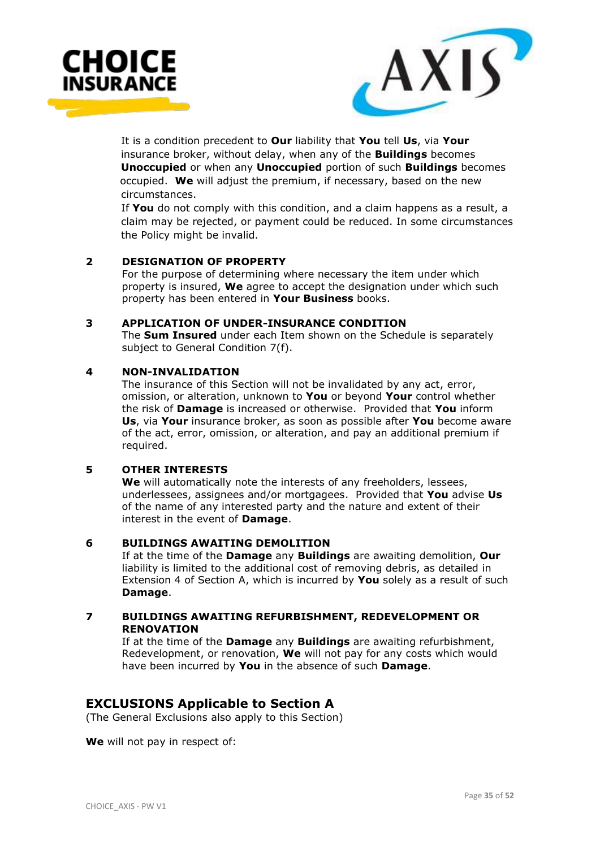![](_page_34_Picture_0.jpeg)

![](_page_34_Picture_1.jpeg)

 It is a condition precedent to **Our** liability that **You** tell **Us**, via **Your** insurance broker, without delay, when any of the **Buildings** becomes **Unoccupied** or when any **Unoccupied** portion of such **Buildings** becomes occupied. **We** will adjust the premium, if necessary, based on the new circumstances.

 If **You** do not comply with this condition, and a claim happens as a result, a claim may be rejected, or payment could be reduced. In some circumstances the Policy might be invalid.

#### **2 DESIGNATION OF PROPERTY**

For the purpose of determining where necessary the item under which property is insured, **We** agree to accept the designation under which such property has been entered in **Your Business** books.

#### **3 APPLICATION OF UNDER-INSURANCE CONDITION**

The **Sum Insured** under each Item shown on the Schedule is separately subject to General Condition 7(f).

#### **4 NON-INVALIDATION**

The insurance of this Section will not be invalidated by any act, error, omission, or alteration, unknown to **You** or beyond **Your** control whether the risk of **Damage** is increased or otherwise. Provided that **You** inform **Us**, via **Your** insurance broker, as soon as possible after **You** become aware of the act, error, omission, or alteration, and pay an additional premium if required.

# **5 OTHER INTERESTS**

**We** will automatically note the interests of any freeholders, lessees, underlessees, assignees and/or mortgagees. Provided that **You** advise **Us** of the name of any interested party and the nature and extent of their interest in the event of **Damage**.

# **6 BUILDINGS AWAITING DEMOLITION**

If at the time of the **Damage** any **Buildings** are awaiting demolition, **Our** liability is limited to the additional cost of removing debris, as detailed in Extension 4 of Section A, which is incurred by **You** solely as a result of such **Damage**.

#### **7 BUILDINGS AWAITING REFURBISHMENT, REDEVELOPMENT OR RENOVATION**

If at the time of the **Damage** any **Buildings** are awaiting refurbishment, Redevelopment, or renovation, **We** will not pay for any costs which would have been incurred by **You** in the absence of such **Damage**.

# **EXCLUSIONS Applicable to Section A**

(The General Exclusions also apply to this Section)

**We** will not pay in respect of: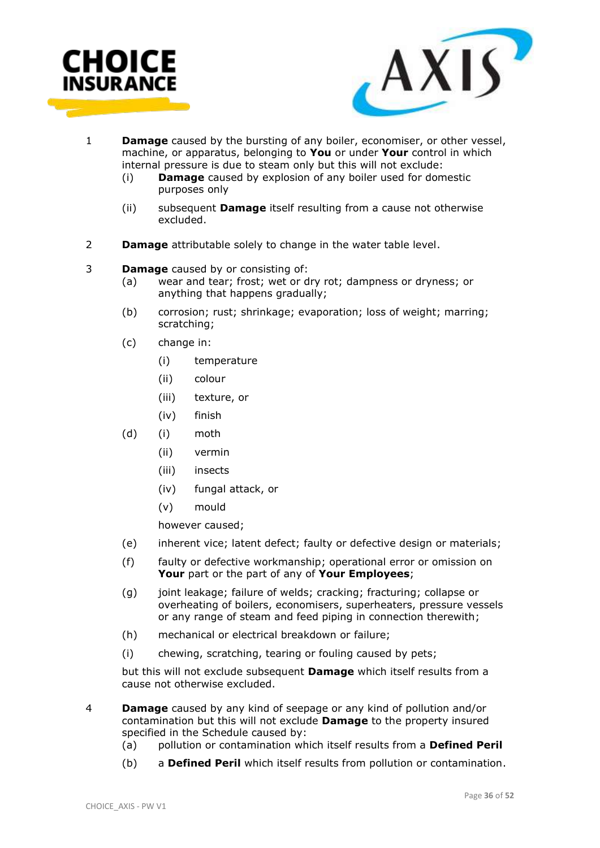![](_page_35_Picture_0.jpeg)

![](_page_35_Picture_1.jpeg)

- 1 **Damage** caused by the bursting of any boiler, economiser, or other vessel, machine, or apparatus, belonging to **You** or under **Your** control in which internal pressure is due to steam only but this will not exclude:
	- (i) **Damage** caused by explosion of any boiler used for domestic purposes only
	- (ii) subsequent **Damage** itself resulting from a cause not otherwise excluded.
- 2 **Damage** attributable solely to change in the water table level.

#### 3 **Damage** caused by or consisting of:

- (a) wear and tear; frost; wet or dry rot; dampness or dryness; or anything that happens gradually;
- (b) corrosion; rust; shrinkage; evaporation; loss of weight; marring; scratching;
- (c) change in:
	- (i) temperature
	- (ii) colour
	- (iii) texture, or
	- (iv) finish
- (d) (i) moth
	- (ii) vermin
	- (iii) insects
	- (iv) fungal attack, or
	- (v) mould

however caused;

- (e) inherent vice; latent defect; faulty or defective design or materials;
- (f) faulty or defective workmanship; operational error or omission on **Your** part or the part of any of **Your Employees**;
- (g) joint leakage; failure of welds; cracking; fracturing; collapse or overheating of boilers, economisers, superheaters, pressure vessels or any range of steam and feed piping in connection therewith;
- (h) mechanical or electrical breakdown or failure;
- (i) chewing, scratching, tearing or fouling caused by pets;

but this will not exclude subsequent **Damage** which itself results from a cause not otherwise excluded.

- 4 **Damage** caused by any kind of seepage or any kind of pollution and/or contamination but this will not exclude **Damage** to the property insured specified in the Schedule caused by:
	- (a) pollution or contamination which itself results from a **Defined Peril**
	- (b) a **Defined Peril** which itself results from pollution or contamination.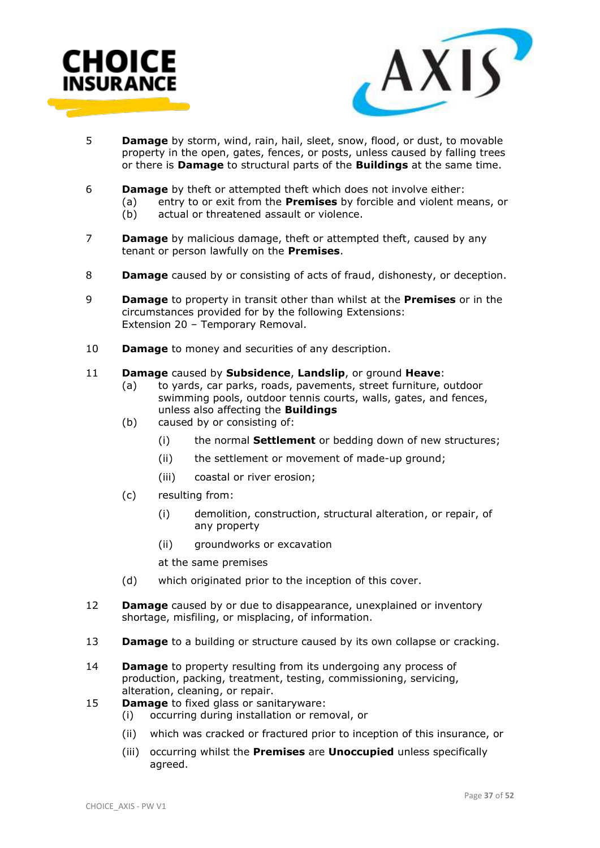![](_page_36_Picture_0.jpeg)

![](_page_36_Picture_1.jpeg)

- 5 **Damage** by storm, wind, rain, hail, sleet, snow, flood, or dust, to movable property in the open, gates, fences, or posts, unless caused by falling trees or there is **Damage** to structural parts of the **Buildings** at the same time.
- 6 **Damage** by theft or attempted theft which does not involve either:
	- (a) entry to or exit from the **Premises** by forcible and violent means, or
		- (b) actual or threatened assault or violence.
- 7 **Damage** by malicious damage, theft or attempted theft, caused by any tenant or person lawfully on the **Premises**.
- 8 **Damage** caused by or consisting of acts of fraud, dishonesty, or deception.
- 9 **Damage** to property in transit other than whilst at the **Premises** or in the circumstances provided for by the following Extensions: Extension 20 – Temporary Removal.
- 10 **Damage** to money and securities of any description.

#### 11 **Damage** caused by **Subsidence**, **Landslip**, or ground **Heave**:

- (a) to yards, car parks, roads, pavements, street furniture, outdoor swimming pools, outdoor tennis courts, walls, gates, and fences, unless also affecting the **Buildings**
- (b) caused by or consisting of:
	- (i) the normal **Settlement** or bedding down of new structures;
	- (ii) the settlement or movement of made-up ground;
	- (iii) coastal or river erosion;
- (c) resulting from:
	- (i) demolition, construction, structural alteration, or repair, of any property
	- (ii) groundworks or excavation
	- at the same premises
- (d) which originated prior to the inception of this cover.
- 12 **Damage** caused by or due to disappearance, unexplained or inventory shortage, misfiling, or misplacing, of information.
- 13 **Damage** to a building or structure caused by its own collapse or cracking.
- 14 **Damage** to property resulting from its undergoing any process of production, packing, treatment, testing, commissioning, servicing, alteration, cleaning, or repair.
- 15 **Damage** to fixed glass or sanitaryware:
	- (i) occurring during installation or removal, or
	- (ii) which was cracked or fractured prior to inception of this insurance, or
	- (iii) occurring whilst the **Premises** are **Unoccupied** unless specifically agreed.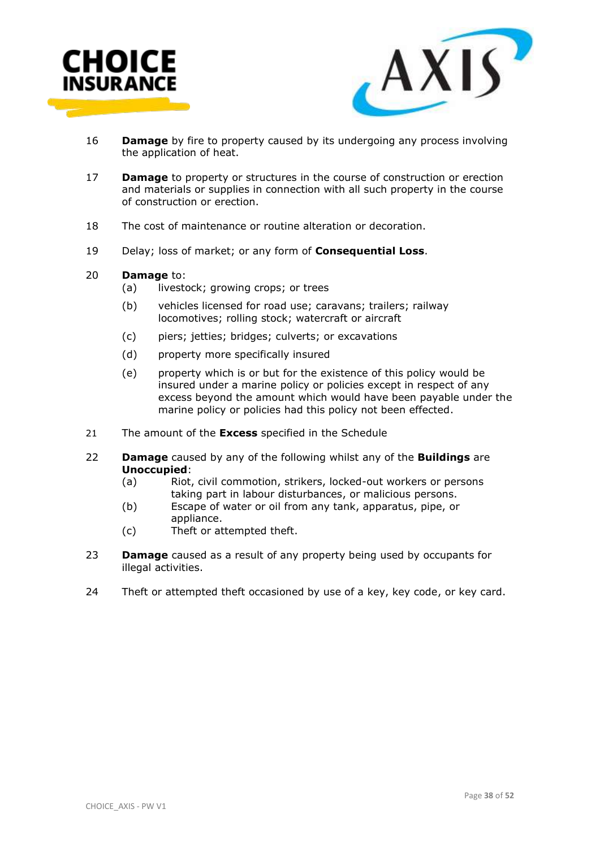![](_page_37_Picture_0.jpeg)

![](_page_37_Picture_1.jpeg)

- 16 **Damage** by fire to property caused by its undergoing any process involving the application of heat.
- 17 **Damage** to property or structures in the course of construction or erection and materials or supplies in connection with all such property in the course of construction or erection.
- 18 The cost of maintenance or routine alteration or decoration.
- 19 Delay; loss of market; or any form of **Consequential Loss**.

#### 20 **Damage** to:

- (a) livestock; growing crops; or trees
- (b) vehicles licensed for road use; caravans; trailers; railway locomotives; rolling stock; watercraft or aircraft
- (c) piers; jetties; bridges; culverts; or excavations
- (d) property more specifically insured
- (e) property which is or but for the existence of this policy would be insured under a marine policy or policies except in respect of any excess beyond the amount which would have been payable under the marine policy or policies had this policy not been effected.
- 21 The amount of the **Excess** specified in the Schedule
- 22 **Damage** caused by any of the following whilst any of the **Buildings** are **Unoccupied**:
	- (a) Riot, civil commotion, strikers, locked-out workers or persons taking part in labour disturbances, or malicious persons.
	- (b) Escape of water or oil from any tank, apparatus, pipe, or appliance.
	- (c) Theft or attempted theft.
- 23 **Damage** caused as a result of any property being used by occupants for illegal activities.
- 24 Theft or attempted theft occasioned by use of a key, key code, or key card.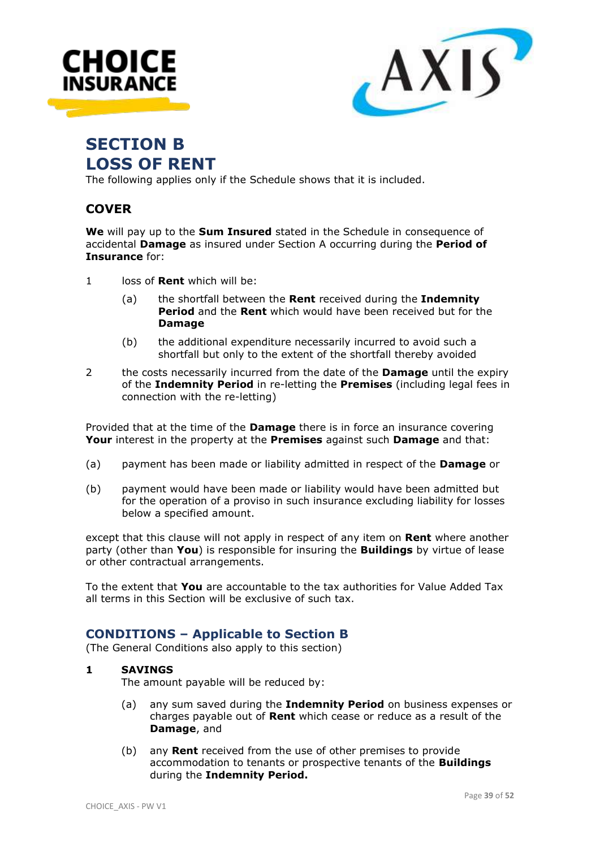![](_page_38_Picture_0.jpeg)

![](_page_38_Picture_1.jpeg)

# **SECTION B LOSS OF RENT**

The following applies only if the Schedule shows that it is included.

# **COVER**

**We** will pay up to the **Sum Insured** stated in the Schedule in consequence of accidental **Damage** as insured under Section A occurring during the **Period of Insurance** for:

- 1 loss of **Rent** which will be:
	- (a) the shortfall between the **Rent** received during the **Indemnity Period** and the **Rent** which would have been received but for the **Damage**
	- (b) the additional expenditure necessarily incurred to avoid such a shortfall but only to the extent of the shortfall thereby avoided
- 2 the costs necessarily incurred from the date of the **Damage** until the expiry of the **Indemnity Period** in re-letting the **Premises** (including legal fees in connection with the re-letting)

Provided that at the time of the **Damage** there is in force an insurance covering **Your** interest in the property at the **Premises** against such **Damage** and that:

- (a) payment has been made or liability admitted in respect of the **Damage** or
- (b) payment would have been made or liability would have been admitted but for the operation of a proviso in such insurance excluding liability for losses below a specified amount.

except that this clause will not apply in respect of any item on **Rent** where another party (other than **You**) is responsible for insuring the **Buildings** by virtue of lease or other contractual arrangements.

To the extent that **You** are accountable to the tax authorities for Value Added Tax all terms in this Section will be exclusive of such tax.

# **CONDITIONS – Applicable to Section B**

(The General Conditions also apply to this section)

# **1 SAVINGS**

The amount payable will be reduced by:

- (a) any sum saved during the **Indemnity Period** on business expenses or charges payable out of **Rent** which cease or reduce as a result of the **Damage**, and
- (b) any **Rent** received from the use of other premises to provide accommodation to tenants or prospective tenants of the **Buildings** during the **Indemnity Period.**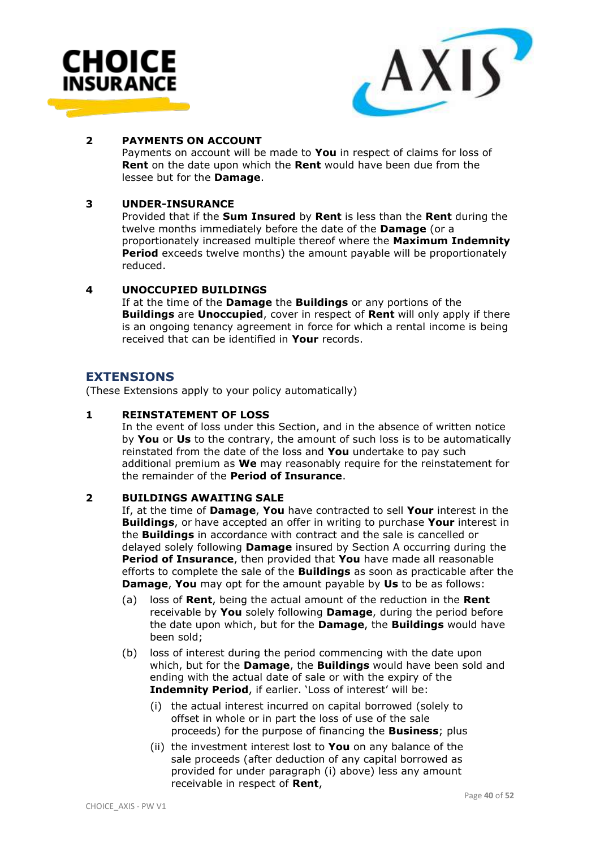![](_page_39_Picture_0.jpeg)

![](_page_39_Picture_1.jpeg)

#### **2 PAYMENTS ON ACCOUNT**

Payments on account will be made to **You** in respect of claims for loss of **Rent** on the date upon which the **Rent** would have been due from the lessee but for the **Damage**.

#### **3 UNDER-INSURANCE**

Provided that if the **Sum Insured** by **Rent** is less than the **Rent** during the twelve months immediately before the date of the **Damage** (or a proportionately increased multiple thereof where the **Maximum Indemnity Period** exceeds twelve months) the amount payable will be proportionately reduced.

#### **4 UNOCCUPIED BUILDINGS**

If at the time of the **Damage** the **Buildings** or any portions of the **Buildings** are **Unoccupied**, cover in respect of **Rent** will only apply if there is an ongoing tenancy agreement in force for which a rental income is being received that can be identified in **Your** records.

# **EXTENSIONS**

(These Extensions apply to your policy automatically)

#### **1 REINSTATEMENT OF LOSS**

In the event of loss under this Section, and in the absence of written notice by **You** or **Us** to the contrary, the amount of such loss is to be automatically reinstated from the date of the loss and **You** undertake to pay such additional premium as **We** may reasonably require for the reinstatement for the remainder of the **Period of Insurance**.

#### **2 BUILDINGS AWAITING SALE**

If, at the time of **Damage**, **You** have contracted to sell **Your** interest in the **Buildings**, or have accepted an offer in writing to purchase **Your** interest in the **Buildings** in accordance with contract and the sale is cancelled or delayed solely following **Damage** insured by Section A occurring during the **Period of Insurance**, then provided that **You** have made all reasonable efforts to complete the sale of the **Buildings** as soon as practicable after the **Damage**, **You** may opt for the amount payable by **Us** to be as follows:

- (a) loss of **Rent**, being the actual amount of the reduction in the **Rent** receivable by **You** solely following **Damage**, during the period before the date upon which, but for the **Damage**, the **Buildings** would have been sold;
- (b) loss of interest during the period commencing with the date upon which, but for the **Damage**, the **Buildings** would have been sold and ending with the actual date of sale or with the expiry of the **Indemnity Period**, if earlier. 'Loss of interest' will be:
	- (i) the actual interest incurred on capital borrowed (solely to offset in whole or in part the loss of use of the sale proceeds) for the purpose of financing the **Business**; plus
	- (ii) the investment interest lost to **You** on any balance of the sale proceeds (after deduction of any capital borrowed as provided for under paragraph (i) above) less any amount receivable in respect of **Rent**,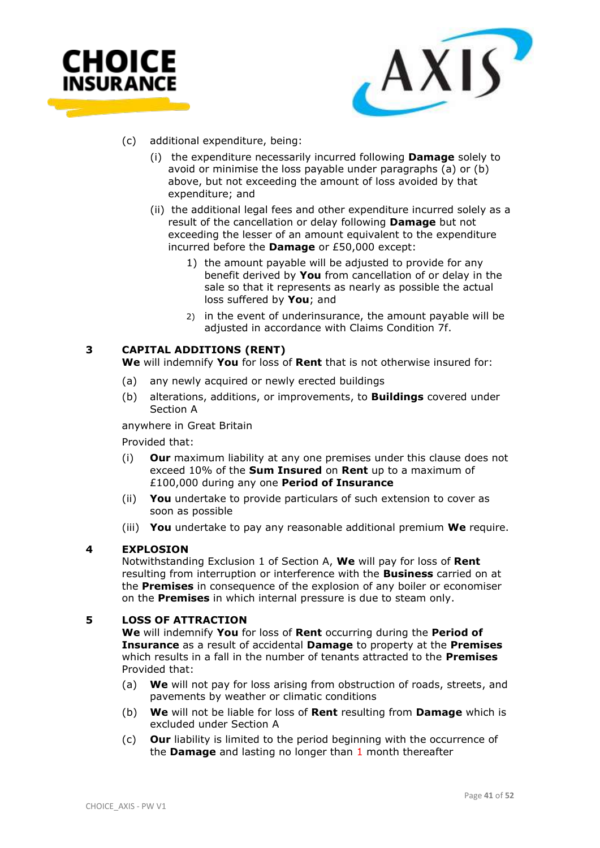![](_page_40_Picture_0.jpeg)

![](_page_40_Picture_1.jpeg)

- (c) additional expenditure, being:
	- (i) the expenditure necessarily incurred following **Damage** solely to avoid or minimise the loss payable under paragraphs (a) or (b) above, but not exceeding the amount of loss avoided by that expenditure; and
	- (ii) the additional legal fees and other expenditure incurred solely as a result of the cancellation or delay following **Damage** but not exceeding the lesser of an amount equivalent to the expenditure incurred before the **Damage** or £50,000 except:
		- 1) the amount payable will be adjusted to provide for any benefit derived by **You** from cancellation of or delay in the sale so that it represents as nearly as possible the actual loss suffered by **You**; and
		- 2) in the event of underinsurance, the amount payable will be adjusted in accordance with Claims Condition 7f.

#### **3 CAPITAL ADDITIONS (RENT)**

**We** will indemnify **You** for loss of **Rent** that is not otherwise insured for:

- (a) any newly acquired or newly erected buildings
- (b) alterations, additions, or improvements, to **Buildings** covered under Section A

anywhere in Great Britain

Provided that:

- (i) **Our** maximum liability at any one premises under this clause does not exceed 10% of the **Sum Insured** on **Rent** up to a maximum of £100,000 during any one **Period of Insurance**
- (ii) **You** undertake to provide particulars of such extension to cover as soon as possible
- (iii) **You** undertake to pay any reasonable additional premium **We** require.

#### **4 EXPLOSION**

Notwithstanding Exclusion 1 of Section A, **We** will pay for loss of **Rent** resulting from interruption or interference with the **Business** carried on at the **Premises** in consequence of the explosion of any boiler or economiser on the **Premises** in which internal pressure is due to steam only.

#### **5 LOSS OF ATTRACTION**

**We** will indemnify **You** for loss of **Rent** occurring during the **Period of Insurance** as a result of accidental **Damage** to property at the **Premises** which results in a fall in the number of tenants attracted to the **Premises** Provided that:

- (a) **We** will not pay for loss arising from obstruction of roads, streets, and pavements by weather or climatic conditions
- (b) **We** will not be liable for loss of **Rent** resulting from **Damage** which is excluded under Section A
- (c) **Our** liability is limited to the period beginning with the occurrence of the **Damage** and lasting no longer than 1 month thereafter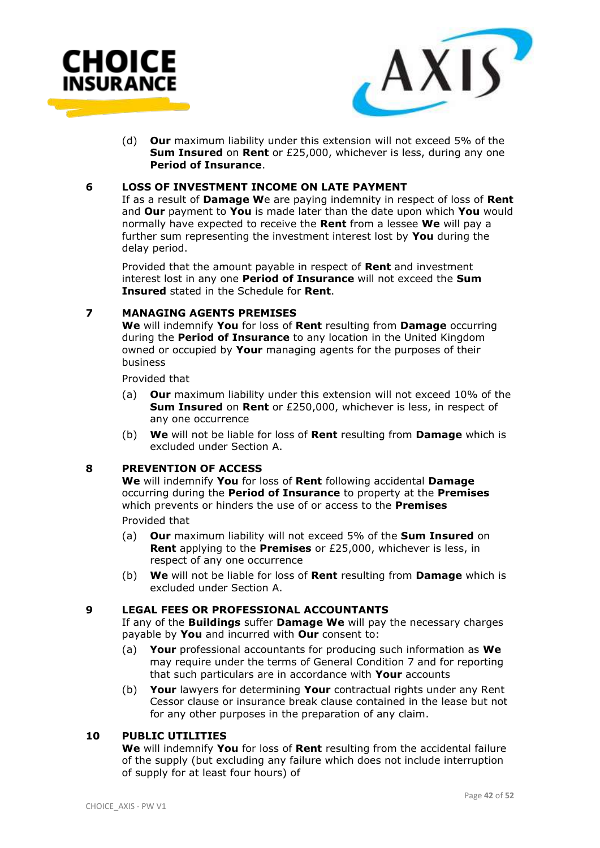![](_page_41_Picture_0.jpeg)

![](_page_41_Picture_1.jpeg)

(d) **Our** maximum liability under this extension will not exceed 5% of the **Sum Insured** on **Rent** or £25,000, whichever is less, during any one **Period of Insurance**.

#### **6 LOSS OF INVESTMENT INCOME ON LATE PAYMENT**

If as a result of **Damage W**e are paying indemnity in respect of loss of **Rent**  and **Our** payment to **You** is made later than the date upon which **You** would normally have expected to receive the **Rent** from a lessee **We** will pay a further sum representing the investment interest lost by **You** during the delay period.

Provided that the amount payable in respect of **Rent** and investment interest lost in any one **Period of Insurance** will not exceed the **Sum Insured** stated in the Schedule for **Rent**.

#### **7 MANAGING AGENTS PREMISES**

**We** will indemnify **You** for loss of **Rent** resulting from **Damage** occurring during the **Period of Insurance** to any location in the United Kingdom owned or occupied by **Your** managing agents for the purposes of their business

Provided that

- (a) **Our** maximum liability under this extension will not exceed 10% of the **Sum Insured** on **Rent** or £250,000, whichever is less, in respect of any one occurrence
- (b) **We** will not be liable for loss of **Rent** resulting from **Damage** which is excluded under Section A.

#### **8 PREVENTION OF ACCESS**

**We** will indemnify **You** for loss of **Rent** following accidental **Damage** occurring during the **Period of Insurance** to property at the **Premises** which prevents or hinders the use of or access to the **Premises**

Provided that

- (a) **Our** maximum liability will not exceed 5% of the **Sum Insured** on **Rent** applying to the **Premises** or £25,000, whichever is less, in respect of any one occurrence
- (b) **We** will not be liable for loss of **Rent** resulting from **Damage** which is excluded under Section A.

# **9 LEGAL FEES OR PROFESSIONAL ACCOUNTANTS**

If any of the **Buildings** suffer **Damage We** will pay the necessary charges payable by **You** and incurred with **Our** consent to:

- (a) **Your** professional accountants for producing such information as **We** may require under the terms of General Condition 7 and for reporting that such particulars are in accordance with **Your** accounts
- (b) **Your** lawyers for determining **Your** contractual rights under any Rent Cessor clause or insurance break clause contained in the lease but not for any other purposes in the preparation of any claim.

# **10 PUBLIC UTILITIES**

**We** will indemnify **You** for loss of **Rent** resulting from the accidental failure of the supply (but excluding any failure which does not include interruption of supply for at least four hours) of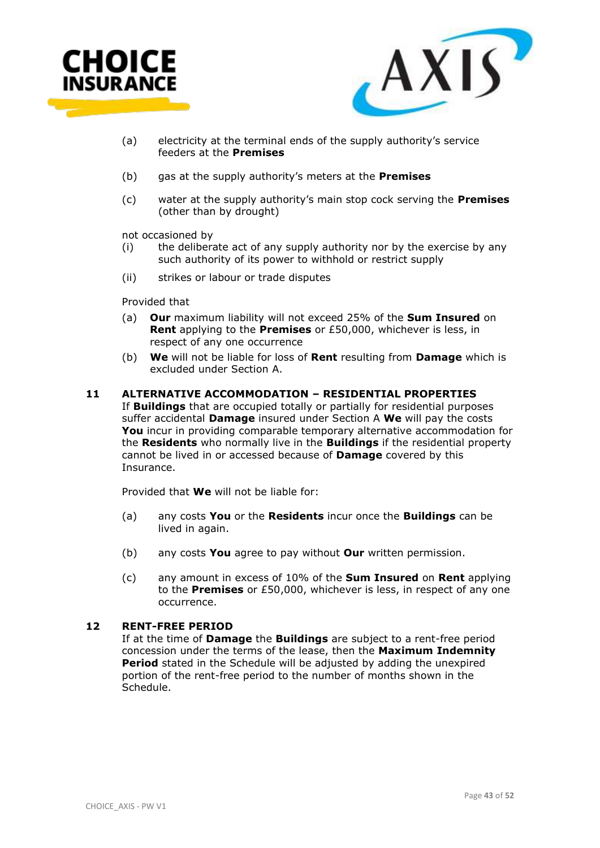![](_page_42_Picture_0.jpeg)

![](_page_42_Picture_1.jpeg)

- (a) electricity at the terminal ends of the supply authority's service feeders at the **Premises**
- (b) gas at the supply authority's meters at the **Premises**
- (c) water at the supply authority's main stop cock serving the **Premises** (other than by drought)

not occasioned by

- (i) the deliberate act of any supply authority nor by the exercise by any such authority of its power to withhold or restrict supply
- (ii) strikes or labour or trade disputes

Provided that

- (a) **Our** maximum liability will not exceed 25% of the **Sum Insured** on **Rent** applying to the **Premises** or £50,000, whichever is less, in respect of any one occurrence
- (b) **We** will not be liable for loss of **Rent** resulting from **Damage** which is excluded under Section A.

#### **11 ALTERNATIVE ACCOMMODATION – RESIDENTIAL PROPERTIES**

If **Buildings** that are occupied totally or partially for residential purposes suffer accidental **Damage** insured under Section A **We** will pay the costs **You** incur in providing comparable temporary alternative accommodation for the **Residents** who normally live in the **Buildings** if the residential property cannot be lived in or accessed because of **Damage** covered by this Insurance.

Provided that **We** will not be liable for:

- (a) any costs **You** or the **Residents** incur once the **Buildings** can be lived in again.
- (b) any costs **You** agree to pay without **Our** written permission.
- (c) any amount in excess of 10% of the **Sum Insured** on **Rent** applying to the **Premises** or £50,000, whichever is less, in respect of any one occurrence.

#### **12 RENT-FREE PERIOD**

If at the time of **Damage** the **Buildings** are subject to a rent-free period concession under the terms of the lease, then the **Maximum Indemnity Period** stated in the Schedule will be adjusted by adding the unexpired portion of the rent-free period to the number of months shown in the Schedule.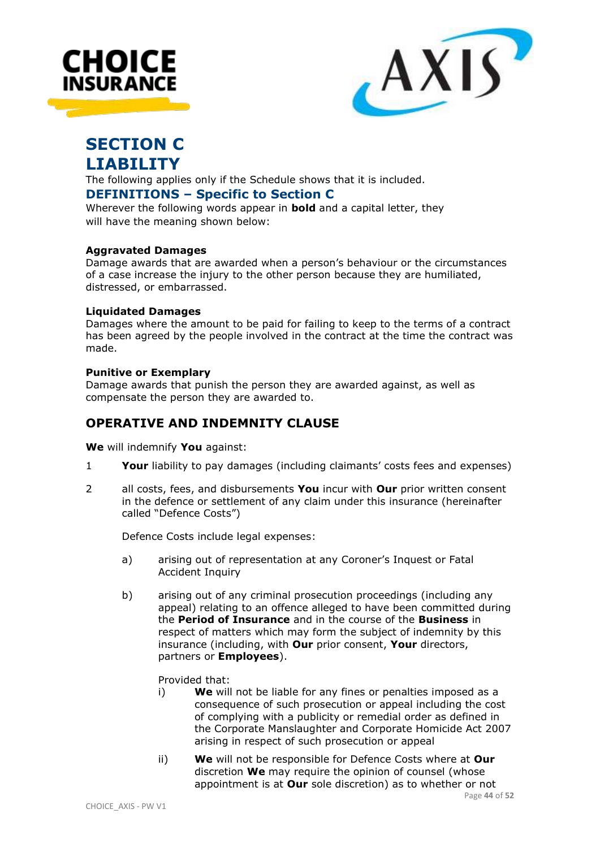![](_page_43_Picture_0.jpeg)

![](_page_43_Picture_1.jpeg)

# **SECTION C LIABILITY**

The following applies only if the Schedule shows that it is included.

# **DEFINITIONS – Specific to Section C**

Wherever the following words appear in **bold** and a capital letter, they will have the meaning shown below:

# **Aggravated Damages**

Damage awards that are awarded when a person's behaviour or the circumstances of a case increase the injury to the other person because they are humiliated, distressed, or embarrassed.

# **Liquidated Damages**

Damages where the amount to be paid for failing to keep to the terms of a contract has been agreed by the people involved in the contract at the time the contract was made.

# **Punitive or Exemplary**

Damage awards that punish the person they are awarded against, as well as compensate the person they are awarded to.

# **OPERATIVE AND INDEMNITY CLAUSE**

**We** will indemnify **You** against:

- 1 **Your** liability to pay damages (including claimants' costs fees and expenses)
- 2 all costs, fees, and disbursements **You** incur with **Our** prior written consent in the defence or settlement of any claim under this insurance (hereinafter called "Defence Costs")

Defence Costs include legal expenses:

- a) arising out of representation at any Coroner's Inquest or Fatal Accident Inquiry
- b) arising out of any criminal prosecution proceedings (including any appeal) relating to an offence alleged to have been committed during the **Period of Insurance** and in the course of the **Business** in respect of matters which may form the subject of indemnity by this insurance (including, with **Our** prior consent, **Your** directors, partners or **Employees**).

Provided that:

- i) **We** will not be liable for any fines or penalties imposed as a consequence of such prosecution or appeal including the cost of complying with a publicity or remedial order as defined in the Corporate Manslaughter and Corporate Homicide Act 2007 arising in respect of such prosecution or appeal
- ii) **We** will not be responsible for Defence Costs where at **Our** discretion **We** may require the opinion of counsel (whose appointment is at **Our** sole discretion) as to whether or not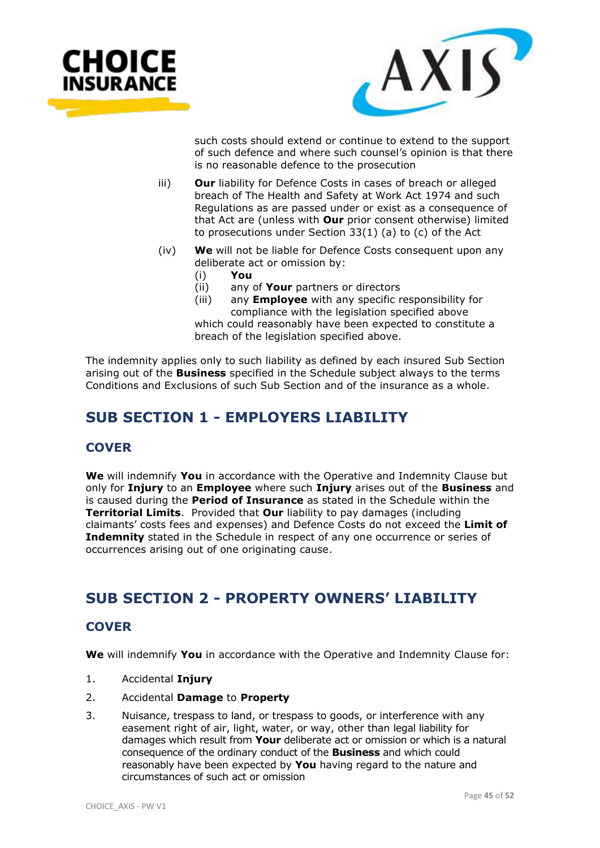![](_page_44_Picture_0.jpeg)

![](_page_44_Picture_1.jpeg)

such costs should extend or continue to extend to the support of such defence and where such counsel's opinion is that there is no reasonable defence to the prosecution

- iii) **Our** liability for Defence Costs in cases of breach or alleged breach of The Health and Safety at Work Act 1974 and such Regulations as are passed under or exist as a consequence of that Act are (unless with **Our** prior consent otherwise) limited to prosecutions under Section 33(1) (a) to (c) of the Act
- (iv) **We** will not be liable for Defence Costs consequent upon any deliberate act or omission by:
	-
	- (i) **You** any of **Your** partners or directors
	- (iii) any **Employee** with any specific responsibility for compliance with the legislation specified above which could reasonably have been expected to constitute a breach of the legislation specified above.

The indemnity applies only to such liability as defined by each insured Sub Section arising out of the **Business** specified in the Schedule subject always to the terms Conditions and Exclusions of such Sub Section and of the insurance as a whole.

# **SUB SECTION 1 - EMPLOYERS LIABILITY**

# **COVER**

**We** will indemnify **You** in accordance with the Operative and Indemnity Clause but only for **Injury** to an **Employee** where such **Injury** arises out of the **Business** and is caused during the **Period of Insurance** as stated in the Schedule within the **Territorial Limits**. Provided that **Our** liability to pay damages (including claimants' costs fees and expenses) and Defence Costs do not exceed the **Limit of Indemnity** stated in the Schedule in respect of any one occurrence or series of occurrences arising out of one originating cause.

# **SUB SECTION 2 - PROPERTY OWNERS' LIABILITY**

# **COVER**

**We** will indemnify **You** in accordance with the Operative and Indemnity Clause for:

- 1. Accidental **Injury**
- 2. Accidental **Damage** to **Property**
- 3. Nuisance, trespass to land, or trespass to goods, or interference with any easement right of air, light, water, or way, other than legal liability for damages which result from **Your** deliberate act or omission or which is a natural consequence of the ordinary conduct of the **Business** and which could reasonably have been expected by **You** having regard to the nature and circumstances of such act or omission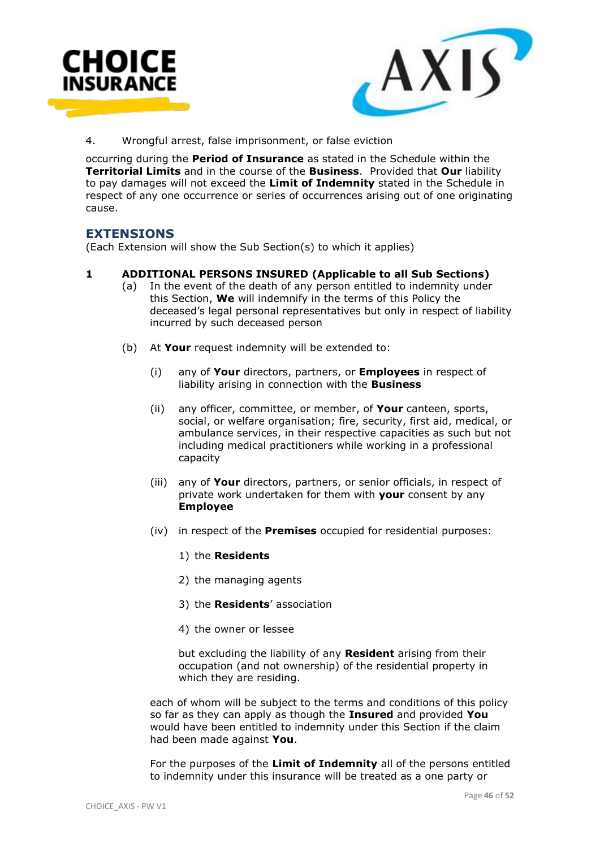![](_page_45_Picture_0.jpeg)

![](_page_45_Picture_1.jpeg)

4. Wrongful arrest, false imprisonment, or false eviction

occurring during the **Period of Insurance** as stated in the Schedule within the **Territorial Limits** and in the course of the **Business**. Provided that **Our** liability to pay damages will not exceed the **Limit of Indemnity** stated in the Schedule in respect of any one occurrence or series of occurrences arising out of one originating cause.

# **EXTENSIONS**

(Each Extension will show the Sub Section(s) to which it applies)

#### **1 ADDITIONAL PERSONS INSURED (Applicable to all Sub Sections)**

- (a) In the event of the death of any person entitled to indemnity under this Section, **We** will indemnify in the terms of this Policy the deceased's legal personal representatives but only in respect of liability incurred by such deceased person
- (b) At **Your** request indemnity will be extended to:
	- (i) any of **Your** directors, partners, or **Employees** in respect of liability arising in connection with the **Business**
	- (ii) any officer, committee, or member, of **Your** canteen, sports, social, or welfare organisation; fire, security, first aid, medical, or ambulance services, in their respective capacities as such but not including medical practitioners while working in a professional capacity
	- (iii) any of **Your** directors, partners, or senior officials, in respect of private work undertaken for them with **your** consent by any **Employee**
	- (iv) in respect of the **Premises** occupied for residential purposes:
		- 1) the **Residents**
		- 2) the managing agents
		- 3) the **Residents**' association
		- 4) the owner or lessee

but excluding the liability of any **Resident** arising from their occupation (and not ownership) of the residential property in which they are residing.

each of whom will be subject to the terms and conditions of this policy so far as they can apply as though the **Insured** and provided **You** would have been entitled to indemnity under this Section if the claim had been made against **You**.

For the purposes of the **Limit of Indemnity** all of the persons entitled to indemnity under this insurance will be treated as a one party or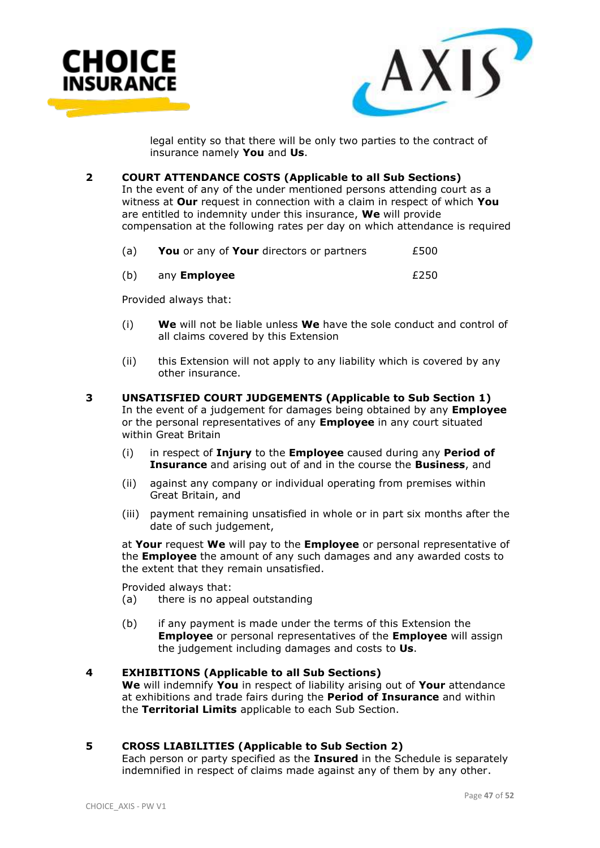![](_page_46_Picture_0.jpeg)

![](_page_46_Picture_1.jpeg)

legal entity so that there will be only two parties to the contract of insurance namely **You** and **Us**.

**2 COURT ATTENDANCE COSTS (Applicable to all Sub Sections)**

In the event of any of the under mentioned persons attending court as a witness at **Our** request in connection with a claim in respect of which **You** are entitled to indemnity under this insurance, **We** will provide compensation at the following rates per day on which attendance is required

| (a) |  | <b>You</b> or any of <b>Your</b> directors or partners |  | £500 |
|-----|--|--------------------------------------------------------|--|------|
|-----|--|--------------------------------------------------------|--|------|

| (b) | any <b>Employee</b> | £250 |
|-----|---------------------|------|
|     |                     |      |

Provided always that:

- (i) **We** will not be liable unless **We** have the sole conduct and control of all claims covered by this Extension
- (ii) this Extension will not apply to any liability which is covered by any other insurance.
- **3 UNSATISFIED COURT JUDGEMENTS (Applicable to Sub Section 1)** In the event of a judgement for damages being obtained by any **Employee**  or the personal representatives of any **Employee** in any court situated within Great Britain
	- (i) in respect of **Injury** to the **Employee** caused during any **Period of Insurance** and arising out of and in the course the **Business**, and
	- (ii) against any company or individual operating from premises within Great Britain, and
	- (iii) payment remaining unsatisfied in whole or in part six months after the date of such judgement,

at **Your** request **We** will pay to the **Employee** or personal representative of the **Employee** the amount of any such damages and any awarded costs to the extent that they remain unsatisfied.

Provided always that:

- (a) there is no appeal outstanding
- (b) if any payment is made under the terms of this Extension the **Employee** or personal representatives of the **Employee** will assign the judgement including damages and costs to **Us**.

#### **4 EXHIBITIONS (Applicable to all Sub Sections)**

**We** will indemnify **You** in respect of liability arising out of **Your** attendance at exhibitions and trade fairs during the **Period of Insurance** and within the **Territorial Limits** applicable to each Sub Section.

# **5 CROSS LIABILITIES (Applicable to Sub Section 2)**

Each person or party specified as the **Insured** in the Schedule is separately indemnified in respect of claims made against any of them by any other.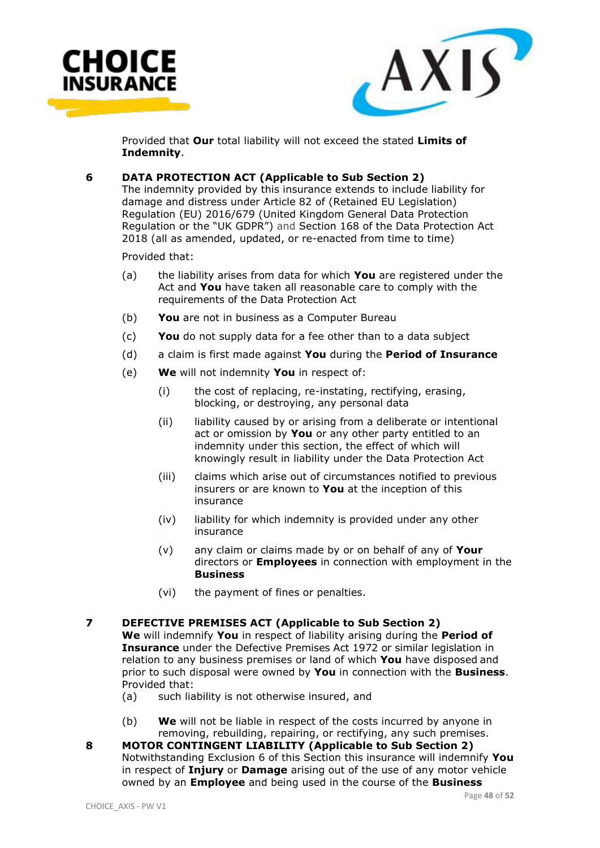![](_page_47_Picture_0.jpeg)

![](_page_47_Picture_1.jpeg)

Provided that **Our** total liability will not exceed the stated **Limits of Indemnity**.

### **6 DATA PROTECTION ACT (Applicable to Sub Section 2)**

The indemnity provided by this insurance extends to include liability for damage and distress under Article 82 of (Retained EU Legislation) Regulation (EU) 2016/679 (United Kingdom General Data Protection Regulation or the "UK GDPR") and Section 168 of the Data Protection Act 2018 (all as amended, updated, or re-enacted from time to time)

Provided that:

- (a) the liability arises from data for which **You** are registered under the Act and **You** have taken all reasonable care to comply with the requirements of the Data Protection Act
- (b) **You** are not in business as a Computer Bureau
- (c) **You** do not supply data for a fee other than to a data subject
- (d) a claim is first made against **You** during the **Period of Insurance**
- (e) **We** will not indemnity **You** in respect of:
	- (i) the cost of replacing, re-instating, rectifying, erasing, blocking, or destroying, any personal data
	- (ii) liability caused by or arising from a deliberate or intentional act or omission by **You** or any other party entitled to an indemnity under this section, the effect of which will knowingly result in liability under the Data Protection Act
	- (iii) claims which arise out of circumstances notified to previous insurers or are known to **You** at the inception of this insurance
	- (iv) liability for which indemnity is provided under any other insurance
	- (v) any claim or claims made by or on behalf of any of **Your**  directors or **Employees** in connection with employment in the **Business**
	- (vi) the payment of fines or penalties.

#### **7 DEFECTIVE PREMISES ACT (Applicable to Sub Section 2)**

**We** will indemnify **You** in respect of liability arising during the **Period of Insurance** under the Defective Premises Act 1972 or similar legislation in relation to any business premises or land of which **You** have disposed and prior to such disposal were owned by **You** in connection with the **Business**. Provided that:

- (a) such liability is not otherwise insured, and
- (b) **We** will not be liable in respect of the costs incurred by anyone in removing, rebuilding, repairing, or rectifying, any such premises.
- **8 MOTOR CONTINGENT LIABILITY (Applicable to Sub Section 2)** Notwithstanding Exclusion 6 of this Section this insurance will indemnify **You**  in respect of **Injury** or **Damage** arising out of the use of any motor vehicle owned by an **Employee** and being used in the course of the **Business**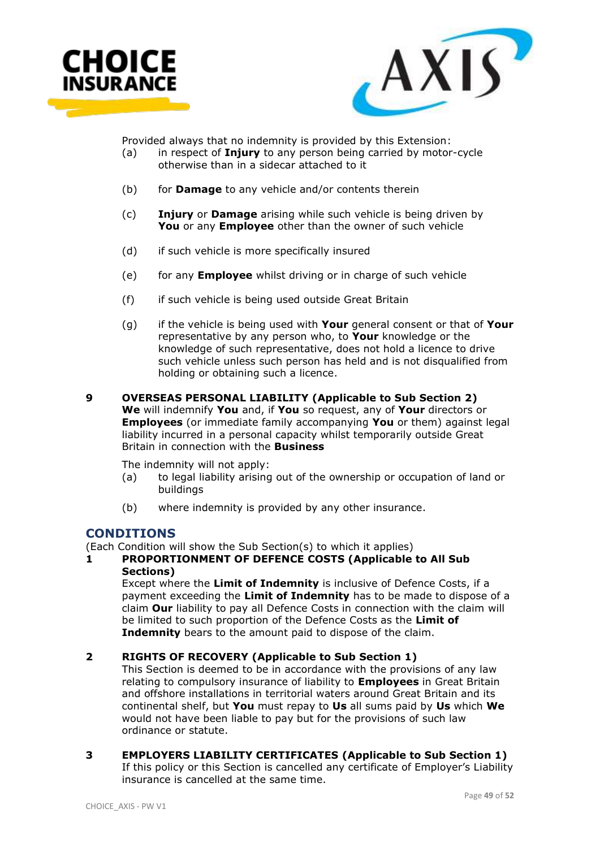![](_page_48_Picture_0.jpeg)

![](_page_48_Picture_1.jpeg)

Provided always that no indemnity is provided by this Extension:

- (a) in respect of **Injury** to any person being carried by motor-cycle otherwise than in a sidecar attached to it
- (b) for **Damage** to any vehicle and/or contents therein
- (c) **Injury** or **Damage** arising while such vehicle is being driven by **You** or any **Employee** other than the owner of such vehicle
- (d) if such vehicle is more specifically insured
- (e) for any **Employee** whilst driving or in charge of such vehicle
- (f) if such vehicle is being used outside Great Britain
- (g) if the vehicle is being used with **Your** general consent or that of **Your**  representative by any person who, to **Your** knowledge or the knowledge of such representative, does not hold a licence to drive such vehicle unless such person has held and is not disqualified from holding or obtaining such a licence.
- **9 OVERSEAS PERSONAL LIABILITY (Applicable to Sub Section 2) We** will indemnify **You** and, if **You** so request, any of **Your** directors or **Employees** (or immediate family accompanying **You** or them) against legal liability incurred in a personal capacity whilst temporarily outside Great Britain in connection with the **Business**

The indemnity will not apply:

- (a) to legal liability arising out of the ownership or occupation of land or buildings
- (b) where indemnity is provided by any other insurance.

# **CONDITIONS**

(Each Condition will show the Sub Section(s) to which it applies)

# **1 PROPORTIONMENT OF DEFENCE COSTS (Applicable to All Sub Sections)**

Except where the **Limit of Indemnity** is inclusive of Defence Costs, if a payment exceeding the **Limit of Indemnity** has to be made to dispose of a claim **Our** liability to pay all Defence Costs in connection with the claim will be limited to such proportion of the Defence Costs as the **Limit of Indemnity** bears to the amount paid to dispose of the claim.

# **2 RIGHTS OF RECOVERY (Applicable to Sub Section 1)**

This Section is deemed to be in accordance with the provisions of any law relating to compulsory insurance of liability to **Employees** in Great Britain and offshore installations in territorial waters around Great Britain and its continental shelf, but **You** must repay to **Us** all sums paid by **Us** which **We** would not have been liable to pay but for the provisions of such law ordinance or statute.

# **3 EMPLOYERS LIABILITY CERTIFICATES (Applicable to Sub Section 1)**

If this policy or this Section is cancelled any certificate of Employer's Liability insurance is cancelled at the same time.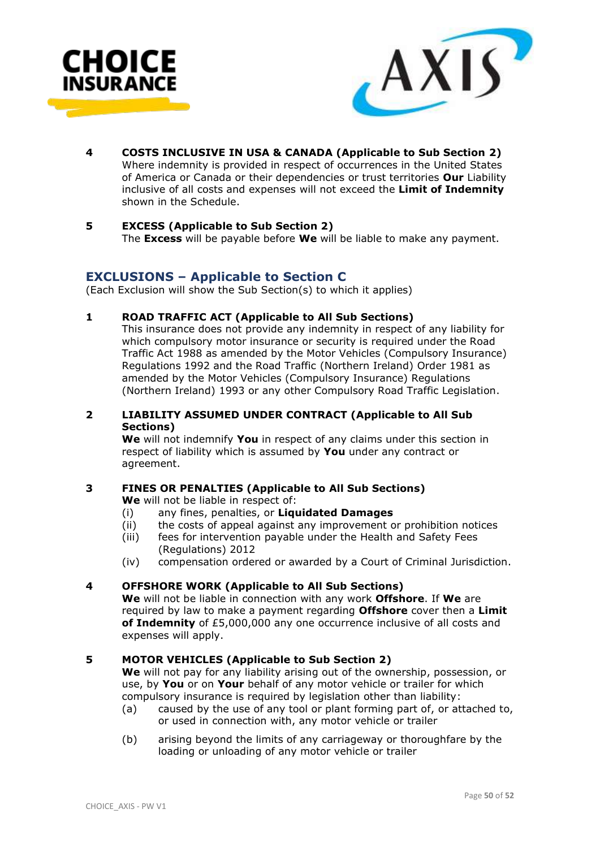![](_page_49_Picture_0.jpeg)

![](_page_49_Picture_1.jpeg)

**4 COSTS INCLUSIVE IN USA & CANADA (Applicable to Sub Section 2)** Where indemnity is provided in respect of occurrences in the United States of America or Canada or their dependencies or trust territories **Our** Liability inclusive of all costs and expenses will not exceed the **Limit of Indemnity** shown in the Schedule.

# **5 EXCESS (Applicable to Sub Section 2)**

The **Excess** will be payable before **We** will be liable to make any payment.

# **EXCLUSIONS – Applicable to Section C**

(Each Exclusion will show the Sub Section(s) to which it applies)

#### **1 ROAD TRAFFIC ACT (Applicable to All Sub Sections)**

This insurance does not provide any indemnity in respect of any liability for which compulsory motor insurance or security is required under the Road Traffic Act 1988 as amended by the Motor Vehicles (Compulsory Insurance) Regulations 1992 and the Road Traffic (Northern Ireland) Order 1981 as amended by the Motor Vehicles (Compulsory Insurance) Regulations (Northern Ireland) 1993 or any other Compulsory Road Traffic Legislation.

#### **2 LIABILITY ASSUMED UNDER CONTRACT (Applicable to All Sub Sections)**

**We** will not indemnify **You** in respect of any claims under this section in respect of liability which is assumed by **You** under any contract or agreement.

# **3 FINES OR PENALTIES (Applicable to All Sub Sections)**

**We** will not be liable in respect of:

- (i) any fines, penalties, or **Liquidated Damages**
- (ii) the costs of appeal against any improvement or prohibition notices
- (iii) fees for intervention payable under the Health and Safety Fees (Regulations) 2012
- (iv) compensation ordered or awarded by a Court of Criminal Jurisdiction.

#### **4 OFFSHORE WORK (Applicable to All Sub Sections)**

**We** will not be liable in connection with any work **Offshore**. If **We** are required by law to make a payment regarding **Offshore** cover then a **Limit of Indemnity** of £5,000,000 any one occurrence inclusive of all costs and expenses will apply.

# **5 MOTOR VEHICLES (Applicable to Sub Section 2)**

**We** will not pay for any liability arising out of the ownership, possession, or use, by **You** or on **Your** behalf of any motor vehicle or trailer for which compulsory insurance is required by legislation other than liability:

- (a) caused by the use of any tool or plant forming part of, or attached to, or used in connection with, any motor vehicle or trailer
- (b) arising beyond the limits of any carriageway or thoroughfare by the loading or unloading of any motor vehicle or trailer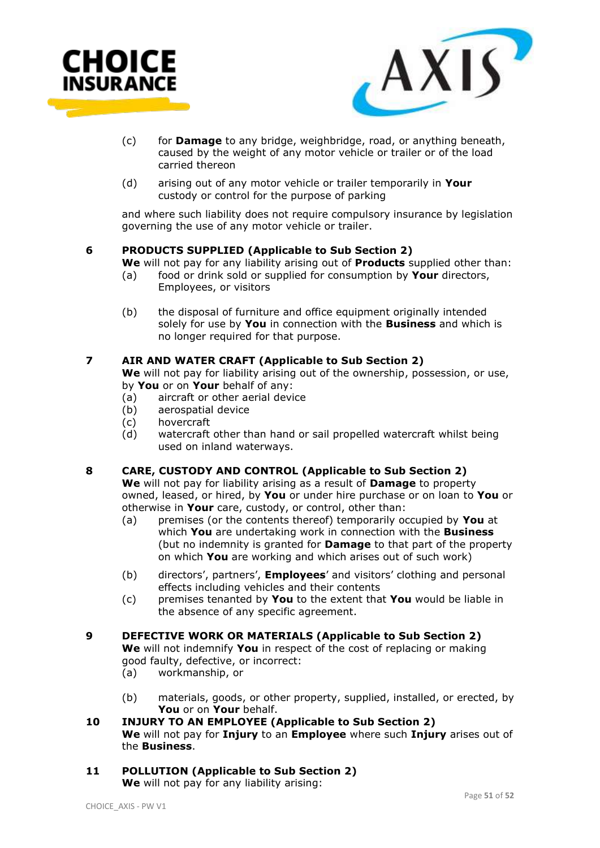![](_page_50_Picture_0.jpeg)

![](_page_50_Picture_1.jpeg)

- (c) for **Damage** to any bridge, weighbridge, road, or anything beneath, caused by the weight of any motor vehicle or trailer or of the load carried thereon
- (d) arising out of any motor vehicle or trailer temporarily in **Your**  custody or control for the purpose of parking

and where such liability does not require compulsory insurance by legislation governing the use of any motor vehicle or trailer.

#### **6 PRODUCTS SUPPLIED (Applicable to Sub Section 2)**

- **We** will not pay for any liability arising out of **Products** supplied other than:<br>(a) food or drink sold or supplied for consumption by **Your** directors. food or drink sold or supplied for consumption by **Your** directors, Employees, or visitors
- (b) the disposal of furniture and office equipment originally intended solely for use by **You** in connection with the **Business** and which is no longer required for that purpose.

# **7 AIR AND WATER CRAFT (Applicable to Sub Section 2)**

**We** will not pay for liability arising out of the ownership, possession, or use, by **You** or on **Your** behalf of any:

- (a) aircraft or other aerial device
- (b) aerospatial device
- (c) hovercraft
- (d) watercraft other than hand or sail propelled watercraft whilst being used on inland waterways.

# **8 CARE, CUSTODY AND CONTROL (Applicable to Sub Section 2)**

**We** will not pay for liability arising as a result of **Damage** to property owned, leased, or hired, by **You** or under hire purchase or on loan to **You** or otherwise in **Your** care, custody, or control, other than:

- (a) premises (or the contents thereof) temporarily occupied by **You** at which **You** are undertaking work in connection with the **Business** (but no indemnity is granted for **Damage** to that part of the property on which **You** are working and which arises out of such work)
- (b) directors', partners', **Employees**' and visitors' clothing and personal effects including vehicles and their contents
- (c) premises tenanted by **You** to the extent that **You** would be liable in the absence of any specific agreement.

# **9 DEFECTIVE WORK OR MATERIALS (Applicable to Sub Section 2)**

**We** will not indemnify **You** in respect of the cost of replacing or making good faulty, defective, or incorrect:

- (a) workmanship, or
- (b) materials, goods, or other property, supplied, installed, or erected, by **You** or on **Your** behalf.
- **10 INJURY TO AN EMPLOYEE (Applicable to Sub Section 2) We** will not pay for **Injury** to an **Employee** where such **Injury** arises out of the **Business**.

#### **11 POLLUTION (Applicable to Sub Section 2) We** will not pay for any liability arising: